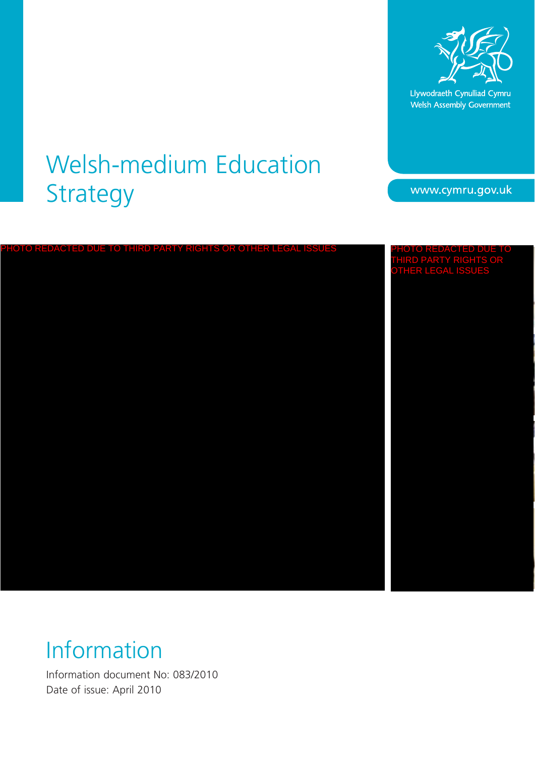

Llywodraeth Cynulliad Cymru Welsh Assembly Government

www.cymru.gov.uk

## Welsh-medium Education Strategy

TO THIRD PARTY RIGHTS OR OTHER LE THIRD PARTY RIGHTS OR OTHER LEGAL ISSUES

## Information

Information document No: 083/2010 Date of issue: April 2010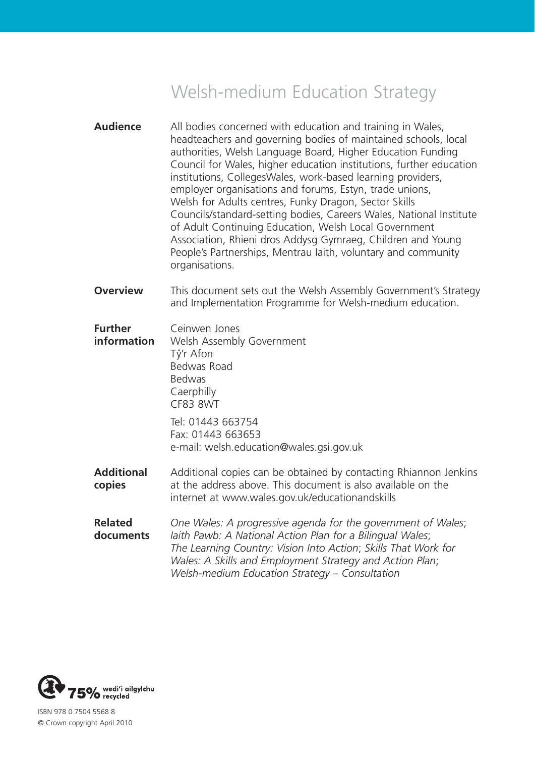## Welsh-medium Education Strategy

- **Audience** All bodies concerned with education and training in Wales, headteachers and governing bodies of maintained schools, local authorities, Welsh Language Board, Higher Education Funding Council for Wales, higher education institutions, further education institutions, CollegesWales, work-based learning providers, employer organisations and forums, Estyn, trade unions, Welsh for Adults centres, Funky Dragon, Sector Skills Councils/standard-setting bodies, Careers Wales, National Institute of Adult Continuing Education, Welsh Local Government Association, Rhieni dros Addysg Gymraeg, Children and Young People's Partnerships, Mentrau Iaith, voluntary and community organisations.
- **Overview** This document sets out the Welsh Assembly Government's Strategy and Implementation Programme for Welsh-medium education.
- **Further Ceinwen Jones information** Welsh Assembly Government Tŷ'r Afon Bedwas Road Bedwas **Caerphilly** CF83 8WT

 Tel: 01443 663754 Fax: 01443 663653 e-mail: welsh.education@wales.gsi.gov.uk

- **Additional** Additional copies can be obtained by contacting Rhiannon Jenkins **copies** at the address above. This document is also available on the internet at www.wales.gov.uk/educationandskills
- **Related** *One Wales: A progressive agenda for the government of Wales*; **documents** *Iaith Pawb: A National Action Plan for a Bilingual Wales*;  *The Learning Country: Vision Into Action*; *Skills That Work for Wales: A Skills and Employment Strategy and Action Plan*;  *Welsh-medium Education Strategy – Consultation*



ISBN 978 0 7504 5568 8 © Crown copyright April 2010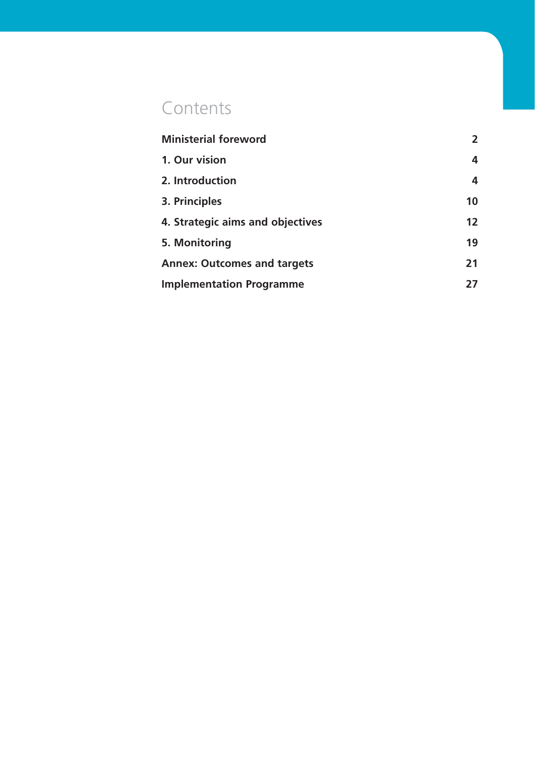## **Contents**

| <b>Ministerial foreword</b>        | $\mathbf{2}$      |
|------------------------------------|-------------------|
| 1. Our vision                      | 4                 |
| 2. Introduction                    | 4                 |
| 3. Principles                      | 10                |
| 4. Strategic aims and objectives   | $12 \overline{ }$ |
| 5. Monitoring                      | 19                |
| <b>Annex: Outcomes and targets</b> | 21                |
| <b>Implementation Programme</b>    | 27                |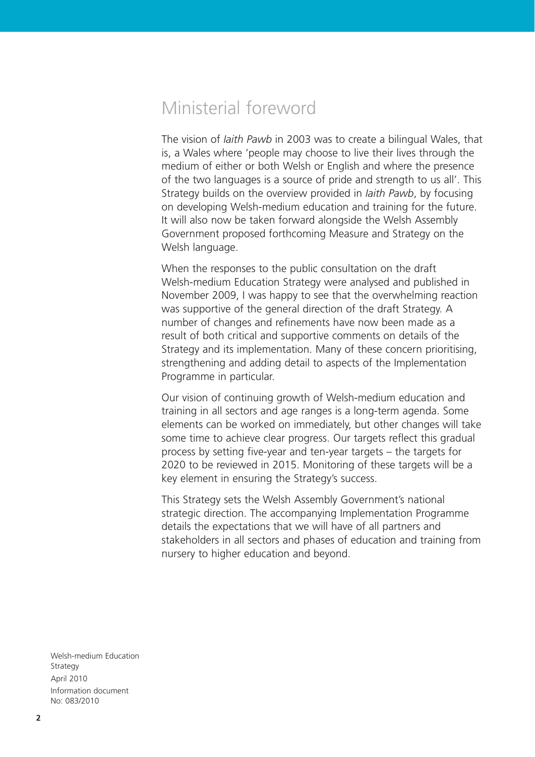## Ministerial foreword

The vision of *Iaith Pawb* in 2003 was to create a bilingual Wales, that is, a Wales where 'people may choose to live their lives through the medium of either or both Welsh or English and where the presence of the two languages is a source of pride and strength to us all'. This Strategy builds on the overview provided in *Iaith Pawb*, by focusing on developing Welsh-medium education and training for the future. It will also now be taken forward alongside the Welsh Assembly Government proposed forthcoming Measure and Strategy on the Welsh language.

When the responses to the public consultation on the draft Welsh-medium Education Strategy were analysed and published in November 2009, I was happy to see that the overwhelming reaction was supportive of the general direction of the draft Strategy. A number of changes and refinements have now been made as a result of both critical and supportive comments on details of the Strategy and its implementation. Many of these concern prioritising, strengthening and adding detail to aspects of the Implementation Programme in particular.

Our vision of continuing growth of Welsh-medium education and training in all sectors and age ranges is a long-term agenda. Some elements can be worked on immediately, but other changes will take some time to achieve clear progress. Our targets reflect this gradual process by setting five-year and ten-year targets – the targets for 2020 to be reviewed in 2015. Monitoring of these targets will be a key element in ensuring the Strategy's success.

This Strategy sets the Welsh Assembly Government's national strategic direction. The accompanying Implementation Programme details the expectations that we will have of all partners and stakeholders in all sectors and phases of education and training from nursery to higher education and beyond.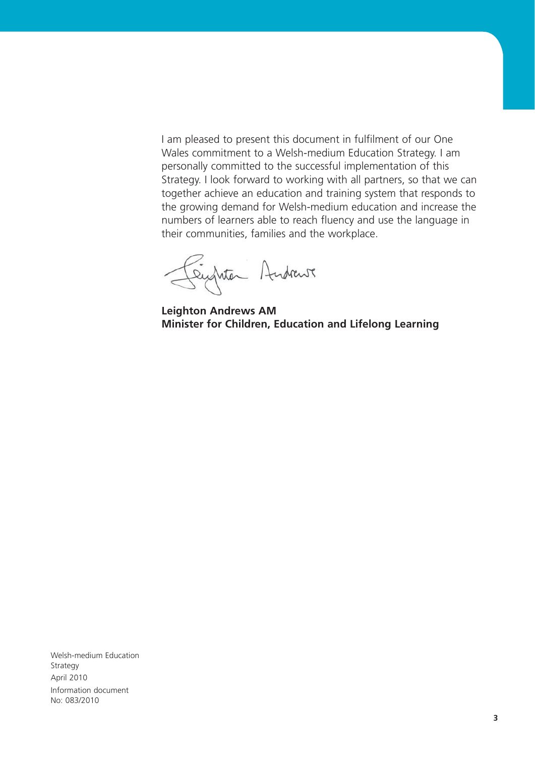I am pleased to present this document in fulfilment of our One Wales commitment to a Welsh-medium Education Strategy. I am personally committed to the successful implementation of this Strategy. I look forward to working with all partners, so that we can together achieve an education and training system that responds to the growing demand for Welsh-medium education and increase the numbers of learners able to reach fluency and use the language in their communities, families and the workplace.

Centre Andrews

**Leighton Andrews AM Minister for Children, Education and Lifelong Learning**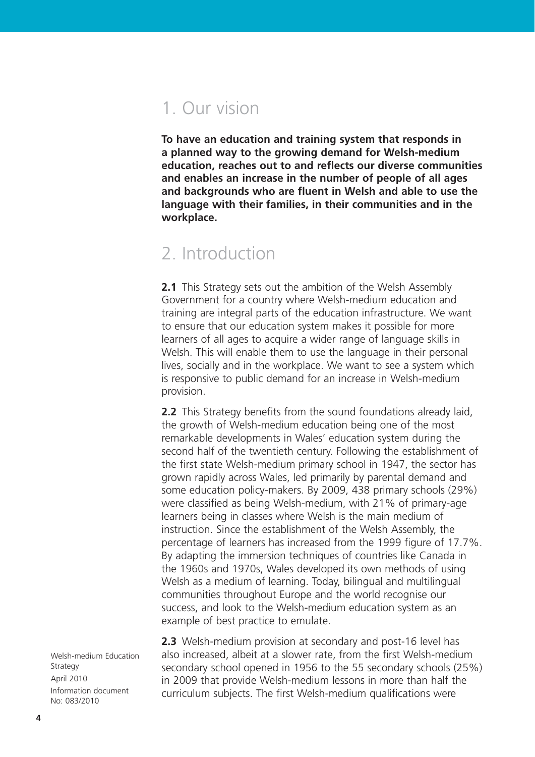## 1. Our vision

**To have an education and training system that responds in a planned way to the growing demand for Welsh-medium education, reaches out to and reflects our diverse communities and enables an increase in the number of people of all ages and backgrounds who are fluent in Welsh and able to use the language with their families, in their communities and in the workplace.**

### 2. Introduction

**2.1** This Strategy sets out the ambition of the Welsh Assembly Government for a country where Welsh-medium education and training are integral parts of the education infrastructure. We want to ensure that our education system makes it possible for more learners of all ages to acquire a wider range of language skills in Welsh. This will enable them to use the language in their personal lives, socially and in the workplace. We want to see a system which is responsive to public demand for an increase in Welsh-medium provision.

**2.2** This Strategy benefits from the sound foundations already laid, the growth of Welsh-medium education being one of the most remarkable developments in Wales' education system during the second half of the twentieth century. Following the establishment of the first state Welsh-medium primary school in 1947, the sector has grown rapidly across Wales, led primarily by parental demand and some education policy-makers. By 2009, 438 primary schools (29%) were classified as being Welsh-medium, with 21% of primary-age learners being in classes where Welsh is the main medium of instruction. Since the establishment of the Welsh Assembly, the percentage of learners has increased from the 1999 figure of 17.7%. By adapting the immersion techniques of countries like Canada in the 1960s and 1970s, Wales developed its own methods of using Welsh as a medium of learning. Today, bilingual and multilingual communities throughout Europe and the world recognise our success, and look to the Welsh-medium education system as an example of best practice to emulate.

**2.3** Welsh-medium provision at secondary and post-16 level has also increased, albeit at a slower rate, from the first Welsh-medium secondary school opened in 1956 to the 55 secondary schools (25%) in 2009 that provide Welsh-medium lessons in more than half the curriculum subjects. The first Welsh-medium qualifications were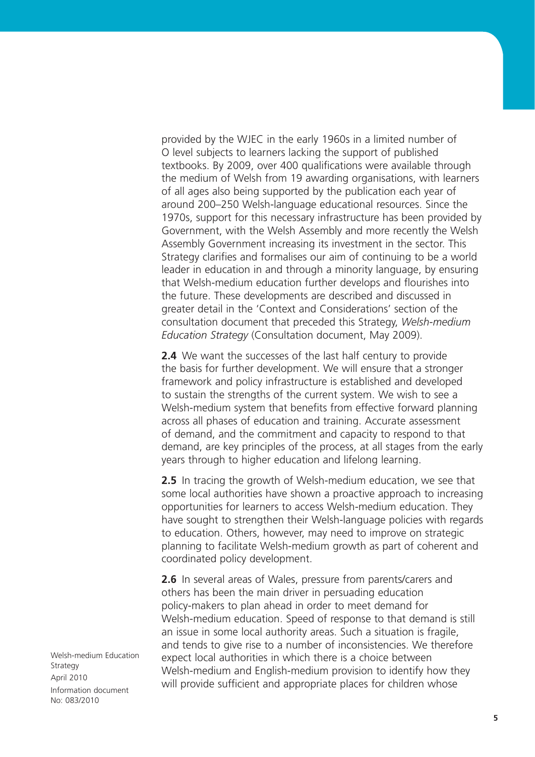provided by the WJEC in the early 1960s in a limited number of O level subjects to learners lacking the support of published textbooks. By 2009, over 400 qualifications were available through the medium of Welsh from 19 awarding organisations, with learners of all ages also being supported by the publication each year of around 200–250 Welsh-language educational resources. Since the 1970s, support for this necessary infrastructure has been provided by Government, with the Welsh Assembly and more recently the Welsh Assembly Government increasing its investment in the sector. This Strategy clarifies and formalises our aim of continuing to be a world leader in education in and through a minority language, by ensuring that Welsh-medium education further develops and flourishes into the future. These developments are described and discussed in greater detail in the 'Context and Considerations' section of the consultation document that preceded this Strategy, *Welsh-medium Education Strategy* (Consultation document, May 2009).

**2.4** We want the successes of the last half century to provide the basis for further development. We will ensure that a stronger framework and policy infrastructure is established and developed to sustain the strengths of the current system. We wish to see a Welsh-medium system that benefits from effective forward planning across all phases of education and training. Accurate assessment of demand, and the commitment and capacity to respond to that demand, are key principles of the process, at all stages from the early years through to higher education and lifelong learning.

**2.5** In tracing the growth of Welsh-medium education, we see that some local authorities have shown a proactive approach to increasing opportunities for learners to access Welsh-medium education. They have sought to strengthen their Welsh-language policies with regards to education. Others, however, may need to improve on strategic planning to facilitate Welsh-medium growth as part of coherent and coordinated policy development.

**2.6** In several areas of Wales, pressure from parents/carers and others has been the main driver in persuading education policy-makers to plan ahead in order to meet demand for Welsh-medium education. Speed of response to that demand is still an issue in some local authority areas. Such a situation is fragile, and tends to give rise to a number of inconsistencies. We therefore expect local authorities in which there is a choice between Welsh-medium and English-medium provision to identify how they will provide sufficient and appropriate places for children whose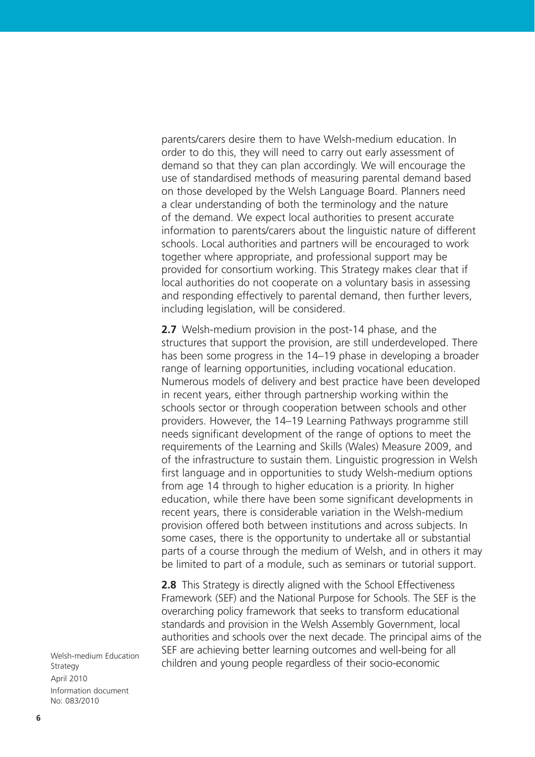parents/carers desire them to have Welsh-medium education. In order to do this, they will need to carry out early assessment of demand so that they can plan accordingly. We will encourage the use of standardised methods of measuring parental demand based on those developed by the Welsh Language Board. Planners need a clear understanding of both the terminology and the nature of the demand. We expect local authorities to present accurate information to parents/carers about the linguistic nature of different schools. Local authorities and partners will be encouraged to work together where appropriate, and professional support may be provided for consortium working. This Strategy makes clear that if local authorities do not cooperate on a voluntary basis in assessing and responding effectively to parental demand, then further levers, including legislation, will be considered.

**2.7** Welsh-medium provision in the post-14 phase, and the structures that support the provision, are still underdeveloped. There has been some progress in the 14–19 phase in developing a broader range of learning opportunities, including vocational education. Numerous models of delivery and best practice have been developed in recent years, either through partnership working within the schools sector or through cooperation between schools and other providers. However, the 14–19 Learning Pathways programme still needs significant development of the range of options to meet the requirements of the Learning and Skills (Wales) Measure 2009, and of the infrastructure to sustain them. Linguistic progression in Welsh first language and in opportunities to study Welsh-medium options from age 14 through to higher education is a priority. In higher education, while there have been some significant developments in recent years, there is considerable variation in the Welsh-medium provision offered both between institutions and across subjects. In some cases, there is the opportunity to undertake all or substantial parts of a course through the medium of Welsh, and in others it may be limited to part of a module, such as seminars or tutorial support.

**2.8** This Strategy is directly aligned with the School Effectiveness Framework (SEF) and the National Purpose for Schools. The SEF is the overarching policy framework that seeks to transform educational standards and provision in the Welsh Assembly Government, local authorities and schools over the next decade. The principal aims of the SEF are achieving better learning outcomes and well-being for all children and young people regardless of their socio-economic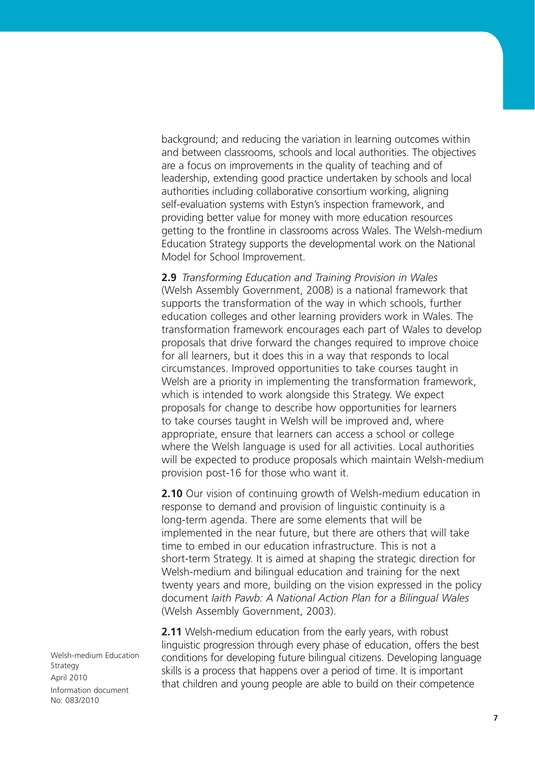background; and reducing the variation in learning outcomes within and between classrooms, schools and local authorities. The objectives are a focus on improvements in the quality of teaching and of leadership, extending good practice undertaken by schools and local authorities including collaborative consortium working, aligning self-evaluation systems with Estyn's inspection framework, and providing better value for money with more education resources getting to the frontline in classrooms across Wales. The Welsh-medium Education Strategy supports the developmental work on the National Model for School Improvement.

**2.9** *Transforming Education and Training Provision in Wales* (Welsh Assembly Government, 2008) is a national framework that supports the transformation of the way in which schools, further education colleges and other learning providers work in Wales. The transformation framework encourages each part of Wales to develop proposals that drive forward the changes required to improve choice for all learners, but it does this in a way that responds to local circumstances. Improved opportunities to take courses taught in Welsh are a priority in implementing the transformation framework, which is intended to work alongside this Strategy. We expect proposals for change to describe how opportunities for learners to take courses taught in Welsh will be improved and, where appropriate, ensure that learners can access a school or college where the Welsh language is used for all activities. Local authorities will be expected to produce proposals which maintain Welsh-medium provision post-16 for those who want it.

**2.10** Our vision of continuing growth of Welsh-medium education in response to demand and provision of linguistic continuity is a long-term agenda. There are some elements that will be implemented in the near future, but there are others that will take time to embed in our education infrastructure. This is not a short-term Strategy. It is aimed at shaping the strategic direction for Welsh-medium and bilingual education and training for the next twenty years and more, building on the vision expressed in the policy document *Iaith Pawb: A National Action Plan for a Bilingual Wales* (Welsh Assembly Government, 2003).

**2.11** Welsh-medium education from the early years, with robust linguistic progression through every phase of education, offers the best conditions for developing future bilingual citizens. Developing language skills is a process that happens over a period of time. It is important that children and young people are able to build on their competence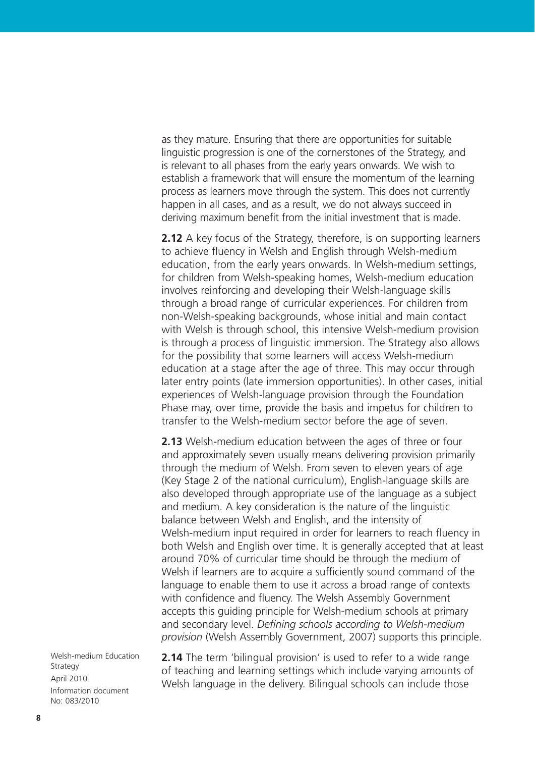as they mature. Ensuring that there are opportunities for suitable linguistic progression is one of the cornerstones of the Strategy, and is relevant to all phases from the early years onwards. We wish to establish a framework that will ensure the momentum of the learning process as learners move through the system. This does not currently happen in all cases, and as a result, we do not always succeed in deriving maximum benefit from the initial investment that is made.

**2.12** A key focus of the Strategy, therefore, is on supporting learners to achieve fluency in Welsh and English through Welsh-medium education, from the early years onwards. In Welsh-medium settings, for children from Welsh-speaking homes, Welsh-medium education involves reinforcing and developing their Welsh-language skills through a broad range of curricular experiences. For children from non-Welsh-speaking backgrounds, whose initial and main contact with Welsh is through school, this intensive Welsh-medium provision is through a process of linguistic immersion. The Strategy also allows for the possibility that some learners will access Welsh-medium education at a stage after the age of three. This may occur through later entry points (late immersion opportunities). In other cases, initial experiences of Welsh-language provision through the Foundation Phase may, over time, provide the basis and impetus for children to transfer to the Welsh-medium sector before the age of seven.

**2.13** Welsh-medium education between the ages of three or four and approximately seven usually means delivering provision primarily through the medium of Welsh. From seven to eleven years of age (Key Stage 2 of the national curriculum), English-language skills are also developed through appropriate use of the language as a subject and medium. A key consideration is the nature of the linguistic balance between Welsh and English, and the intensity of Welsh-medium input required in order for learners to reach fluency in both Welsh and English over time. It is generally accepted that at least around 70% of curricular time should be through the medium of Welsh if learners are to acquire a sufficiently sound command of the language to enable them to use it across a broad range of contexts with confidence and fluency. The Welsh Assembly Government accepts this guiding principle for Welsh-medium schools at primary and secondary level. *Defining schools according to Welsh-medium provision* (Welsh Assembly Government, 2007) supports this principle.

Welsh-medium Education Strategy April 2010 Information document No: 083/2010

**2.14** The term 'bilingual provision' is used to refer to a wide range of teaching and learning settings which include varying amounts of Welsh language in the delivery. Bilingual schools can include those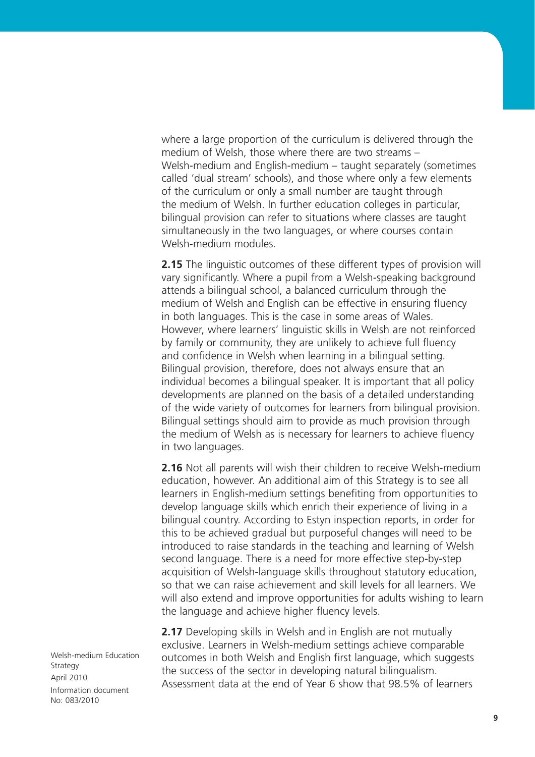where a large proportion of the curriculum is delivered through the medium of Welsh, those where there are two streams – Welsh-medium and English-medium – taught separately (sometimes called 'dual stream' schools), and those where only a few elements of the curriculum or only a small number are taught through the medium of Welsh. In further education colleges in particular, bilingual provision can refer to situations where classes are taught simultaneously in the two languages, or where courses contain Welsh-medium modules.

**2.15** The linguistic outcomes of these different types of provision will vary significantly. Where a pupil from a Welsh-speaking background attends a bilingual school, a balanced curriculum through the medium of Welsh and English can be effective in ensuring fluency in both languages. This is the case in some areas of Wales. However, where learners' linguistic skills in Welsh are not reinforced by family or community, they are unlikely to achieve full fluency and confidence in Welsh when learning in a bilingual setting. Bilingual provision, therefore, does not always ensure that an individual becomes a bilingual speaker. It is important that all policy developments are planned on the basis of a detailed understanding of the wide variety of outcomes for learners from bilingual provision. Bilingual settings should aim to provide as much provision through the medium of Welsh as is necessary for learners to achieve fluency in two languages.

**2.16** Not all parents will wish their children to receive Welsh-medium education, however. An additional aim of this Strategy is to see all learners in English-medium settings benefiting from opportunities to develop language skills which enrich their experience of living in a bilingual country. According to Estyn inspection reports, in order for this to be achieved gradual but purposeful changes will need to be introduced to raise standards in the teaching and learning of Welsh second language. There is a need for more effective step-by-step acquisition of Welsh-language skills throughout statutory education, so that we can raise achievement and skill levels for all learners. We will also extend and improve opportunities for adults wishing to learn the language and achieve higher fluency levels.

**2.17** Developing skills in Welsh and in English are not mutually exclusive. Learners in Welsh-medium settings achieve comparable outcomes in both Welsh and English first language, which suggests the success of the sector in developing natural bilingualism. Assessment data at the end of Year 6 show that 98.5% of learners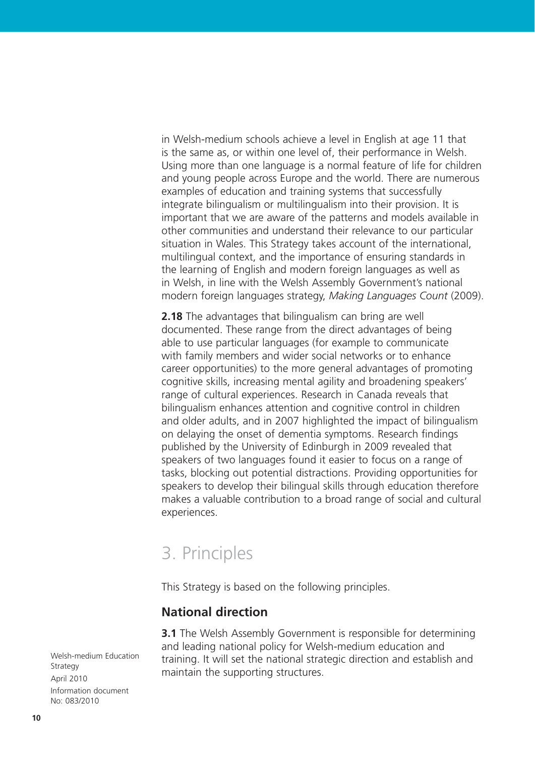in Welsh-medium schools achieve a level in English at age 11 that is the same as, or within one level of, their performance in Welsh. Using more than one language is a normal feature of life for children and young people across Europe and the world. There are numerous examples of education and training systems that successfully integrate bilingualism or multilingualism into their provision. It is important that we are aware of the patterns and models available in other communities and understand their relevance to our particular situation in Wales. This Strategy takes account of the international, multilingual context, and the importance of ensuring standards in the learning of English and modern foreign languages as well as in Welsh, in line with the Welsh Assembly Government's national modern foreign languages strategy, *Making Languages Count* (2009).

**2.18** The advantages that bilingualism can bring are well documented. These range from the direct advantages of being able to use particular languages (for example to communicate with family members and wider social networks or to enhance career opportunities) to the more general advantages of promoting cognitive skills, increasing mental agility and broadening speakers' range of cultural experiences. Research in Canada reveals that bilingualism enhances attention and cognitive control in children and older adults, and in 2007 highlighted the impact of bilingualism on delaying the onset of dementia symptoms. Research findings published by the University of Edinburgh in 2009 revealed that speakers of two languages found it easier to focus on a range of tasks, blocking out potential distractions. Providing opportunities for speakers to develop their bilingual skills through education therefore makes a valuable contribution to a broad range of social and cultural experiences.

## 3. Principles

This Strategy is based on the following principles.

#### **National direction**

**3.1** The Welsh Assembly Government is responsible for determining and leading national policy for Welsh-medium education and training. It will set the national strategic direction and establish and maintain the supporting structures.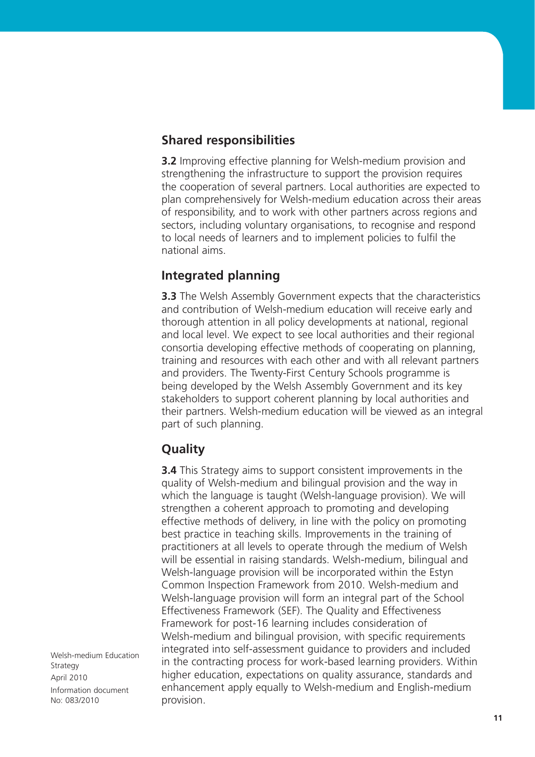#### **Shared responsibilities**

**3.2** Improving effective planning for Welsh-medium provision and strengthening the infrastructure to support the provision requires the cooperation of several partners. Local authorities are expected to plan comprehensively for Welsh-medium education across their areas of responsibility, and to work with other partners across regions and sectors, including voluntary organisations, to recognise and respond to local needs of learners and to implement policies to fulfil the national aims.

#### **Integrated planning**

**3.3** The Welsh Assembly Government expects that the characteristics and contribution of Welsh-medium education will receive early and thorough attention in all policy developments at national, regional and local level. We expect to see local authorities and their regional consortia developing effective methods of cooperating on planning, training and resources with each other and with all relevant partners and providers. The Twenty-First Century Schools programme is being developed by the Welsh Assembly Government and its key stakeholders to support coherent planning by local authorities and their partners. Welsh-medium education will be viewed as an integral part of such planning.

#### **Quality**

**3.4** This Strategy aims to support consistent improvements in the quality of Welsh-medium and bilingual provision and the way in which the language is taught (Welsh-language provision). We will strengthen a coherent approach to promoting and developing effective methods of delivery, in line with the policy on promoting best practice in teaching skills. Improvements in the training of practitioners at all levels to operate through the medium of Welsh will be essential in raising standards. Welsh-medium, bilingual and Welsh-language provision will be incorporated within the Estyn Common Inspection Framework from 2010. Welsh-medium and Welsh-language provision will form an integral part of the School Effectiveness Framework (SEF). The Quality and Effectiveness Framework for post-16 learning includes consideration of Welsh-medium and bilingual provision, with specific requirements integrated into self-assessment guidance to providers and included in the contracting process for work-based learning providers. Within higher education, expectations on quality assurance, standards and enhancement apply equally to Welsh-medium and English-medium provision.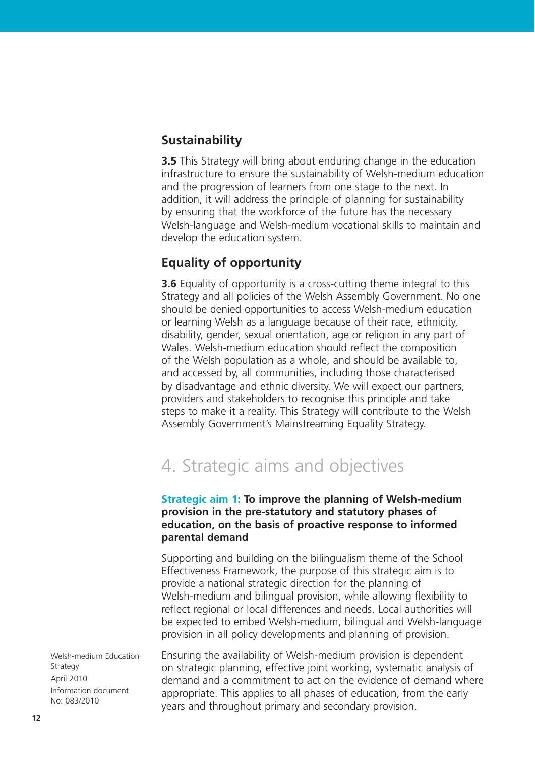#### **Sustainability**

**3.5** This Strategy will bring about enduring change in the education infrastructure to ensure the sustainability of Welsh-medium education and the progression of learners from one stage to the next. In addition, it will address the principle of planning for sustainability by ensuring that the workforce of the future has the necessary Welsh-language and Welsh-medium vocational skills to maintain and develop the education system.

#### **Equality of opportunity**

**3.6** Equality of opportunity is a cross-cutting theme integral to this Strategy and all policies of the Welsh Assembly Government. No one should be denied opportunities to access Welsh-medium education or learning Welsh as a language because of their race, ethnicity, disability, gender, sexual orientation, age or religion in any part of Wales. Welsh-medium education should reflect the composition of the Welsh population as a whole, and should be available to, and accessed by, all communities, including those characterised by disadvantage and ethnic diversity. We will expect our partners, providers and stakeholders to recognise this principle and take steps to make it a reality. This Strategy will contribute to the Welsh Assembly Government's Mainstreaming Equality Strategy.

## 4. Strategic aims and objectives

#### **Strategic aim 1: To improve the planning of Welsh-medium provision in the pre-statutory and statutory phases of education, on the basis of proactive response to informed parental demand**

Supporting and building on the bilingualism theme of the School Effectiveness Framework, the purpose of this strategic aim is to provide a national strategic direction for the planning of Welsh-medium and bilingual provision, while allowing flexibility to reflect regional or local differences and needs. Local authorities will be expected to embed Welsh-medium, bilingual and Welsh-language provision in all policy developments and planning of provision.

Ensuring the availability of Welsh-medium provision is dependent on strategic planning, effective joint working, systematic analysis of demand and a commitment to act on the evidence of demand where appropriate. This applies to all phases of education, from the early years and throughout primary and secondary provision.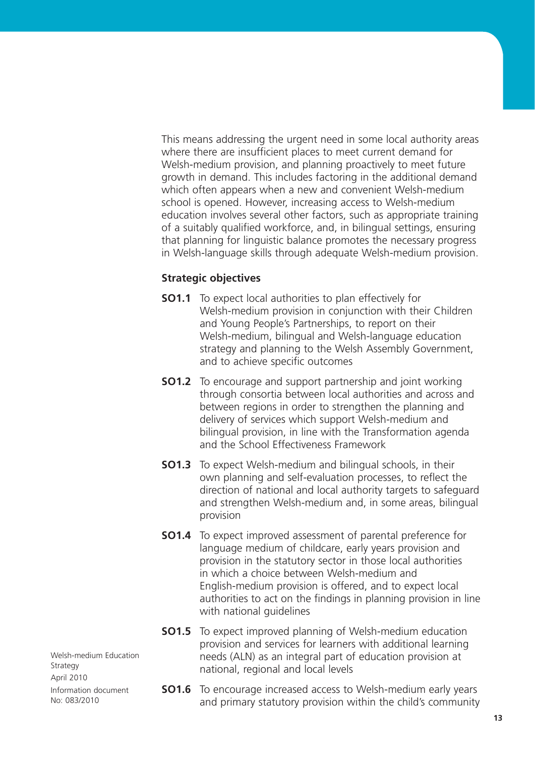This means addressing the urgent need in some local authority areas where there are insufficient places to meet current demand for Welsh-medium provision, and planning proactively to meet future growth in demand. This includes factoring in the additional demand which often appears when a new and convenient Welsh-medium school is opened. However, increasing access to Welsh-medium education involves several other factors, such as appropriate training of a suitably qualified workforce, and, in bilingual settings, ensuring that planning for linguistic balance promotes the necessary progress in Welsh-language skills through adequate Welsh-medium provision.

#### **Strategic objectives**

- **SO1.1** To expect local authorities to plan effectively for Welsh-medium provision in conjunction with their Children and Young People's Partnerships, to report on their Welsh-medium, bilingual and Welsh-language education strategy and planning to the Welsh Assembly Government, and to achieve specific outcomes
- **SO1.2** To encourage and support partnership and joint working through consortia between local authorities and across and between regions in order to strengthen the planning and delivery of services which support Welsh-medium and bilingual provision, in line with the Transformation agenda and the School Effectiveness Framework
- **SO1.3** To expect Welsh-medium and bilingual schools, in their own planning and self-evaluation processes, to reflect the direction of national and local authority targets to safeguard and strengthen Welsh-medium and, in some areas, bilingual provision
- **SO1.4** To expect improved assessment of parental preference for language medium of childcare, early years provision and provision in the statutory sector in those local authorities in which a choice between Welsh-medium and English-medium provision is offered, and to expect local authorities to act on the findings in planning provision in line with national guidelines
- **SO1.5** To expect improved planning of Welsh-medium education provision and services for learners with additional learning needs (ALN) as an integral part of education provision at national, regional and local levels
- **SO1.6** To encourage increased access to Welsh-medium early years and primary statutory provision within the child's community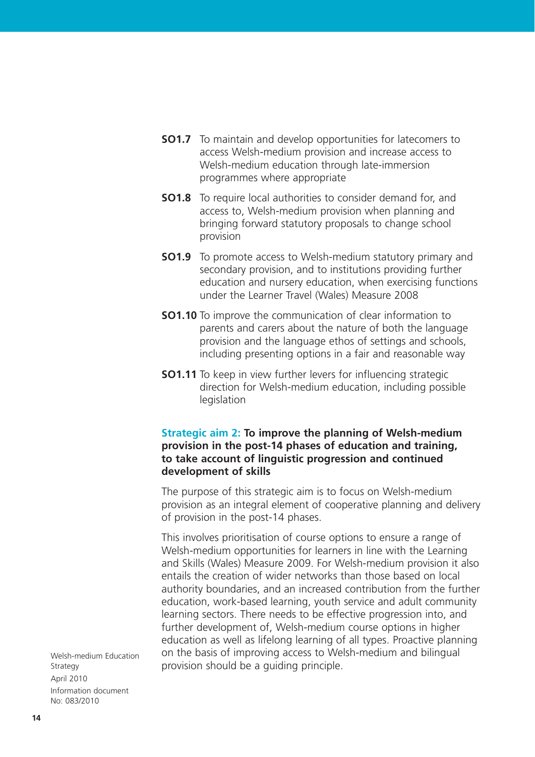- **SO1.7** To maintain and develop opportunities for latecomers to access Welsh-medium provision and increase access to Welsh-medium education through late-immersion programmes where appropriate
- **SO1.8** To require local authorities to consider demand for, and access to, Welsh-medium provision when planning and bringing forward statutory proposals to change school provision
- **SO1.9** To promote access to Welsh-medium statutory primary and secondary provision, and to institutions providing further education and nursery education, when exercising functions under the Learner Travel (Wales) Measure 2008
- **SO1.10** To improve the communication of clear information to parents and carers about the nature of both the language provision and the language ethos of settings and schools, including presenting options in a fair and reasonable way
- **SO1.11** To keep in view further levers for influencing strategic direction for Welsh-medium education, including possible legislation

#### **Strategic aim 2: To improve the planning of Welsh-medium provision in the post-14 phases of education and training, to take account of linguistic progression and continued development of skills**

The purpose of this strategic aim is to focus on Welsh-medium provision as an integral element of cooperative planning and delivery of provision in the post-14 phases.

This involves prioritisation of course options to ensure a range of Welsh-medium opportunities for learners in line with the Learning and Skills (Wales) Measure 2009. For Welsh-medium provision it also entails the creation of wider networks than those based on local authority boundaries, and an increased contribution from the further education, work-based learning, youth service and adult community learning sectors. There needs to be effective progression into, and further development of, Welsh-medium course options in higher education as well as lifelong learning of all types. Proactive planning on the basis of improving access to Welsh-medium and bilingual provision should be a guiding principle.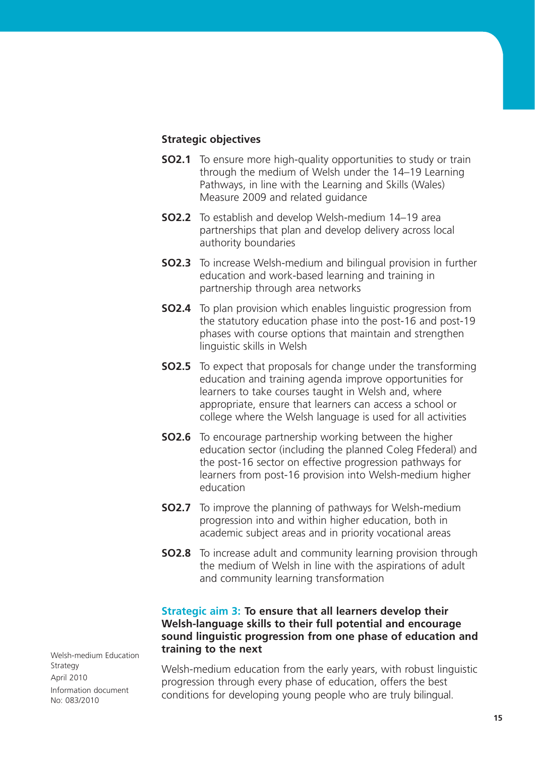#### **Strategic objectives**

- **SO2.1** To ensure more high-quality opportunities to study or train through the medium of Welsh under the 14–19 Learning Pathways, in line with the Learning and Skills (Wales) Measure 2009 and related guidance
- **SO2.2** To establish and develop Welsh-medium 14–19 area partnerships that plan and develop delivery across local authority boundaries
- **SO2.3** To increase Welsh-medium and bilingual provision in further education and work-based learning and training in partnership through area networks
- **SO2.4** To plan provision which enables linguistic progression from the statutory education phase into the post-16 and post-19 phases with course options that maintain and strengthen linguistic skills in Welsh
- **SO2.5** To expect that proposals for change under the transforming education and training agenda improve opportunities for learners to take courses taught in Welsh and, where appropriate, ensure that learners can access a school or college where the Welsh language is used for all activities
- **SO2.6** To encourage partnership working between the higher education sector (including the planned Coleg Ffederal) and the post-16 sector on effective progression pathways for learners from post-16 provision into Welsh-medium higher education
- **SO2.7** To improve the planning of pathways for Welsh-medium progression into and within higher education, both in academic subject areas and in priority vocational areas
- **SO2.8** To increase adult and community learning provision through the medium of Welsh in line with the aspirations of adult and community learning transformation

#### **Strategic aim 3: To ensure that all learners develop their Welsh-language skills to their full potential and encourage sound linguistic progression from one phase of education and training to the next**

Welsh-medium education from the early years, with robust linguistic progression through every phase of education, offers the best conditions for developing young people who are truly bilingual.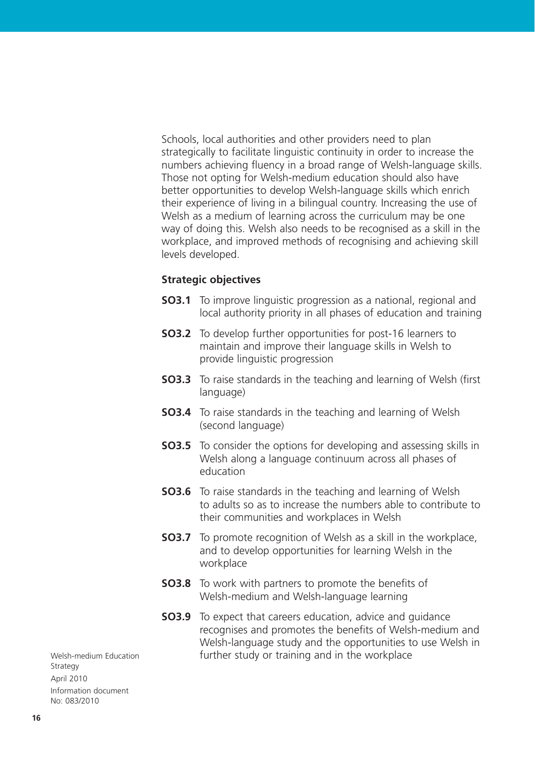Schools, local authorities and other providers need to plan strategically to facilitate linguistic continuity in order to increase the numbers achieving fluency in a broad range of Welsh-language skills. Those not opting for Welsh-medium education should also have better opportunities to develop Welsh-language skills which enrich their experience of living in a bilingual country. Increasing the use of Welsh as a medium of learning across the curriculum may be one way of doing this. Welsh also needs to be recognised as a skill in the workplace, and improved methods of recognising and achieving skill levels developed.

#### **Strategic objectives**

- **SO3.1** To improve linguistic progression as a national, regional and local authority priority in all phases of education and training
- **SO3.2** To develop further opportunities for post-16 learners to maintain and improve their language skills in Welsh to provide linguistic progression
- **SO3.3** To raise standards in the teaching and learning of Welsh (first language)
- **SO3.4** To raise standards in the teaching and learning of Welsh (second language)
- **SO3.5** To consider the options for developing and assessing skills in Welsh along a language continuum across all phases of education
- **SO3.6** To raise standards in the teaching and learning of Welsh to adults so as to increase the numbers able to contribute to their communities and workplaces in Welsh
- **SO3.7** To promote recognition of Welsh as a skill in the workplace, and to develop opportunities for learning Welsh in the workplace
- **SO3.8** To work with partners to promote the benefits of Welsh-medium and Welsh-language learning
- **SO3.9** To expect that careers education, advice and quidance recognises and promotes the benefits of Welsh-medium and Welsh-language study and the opportunities to use Welsh in further study or training and in the workplace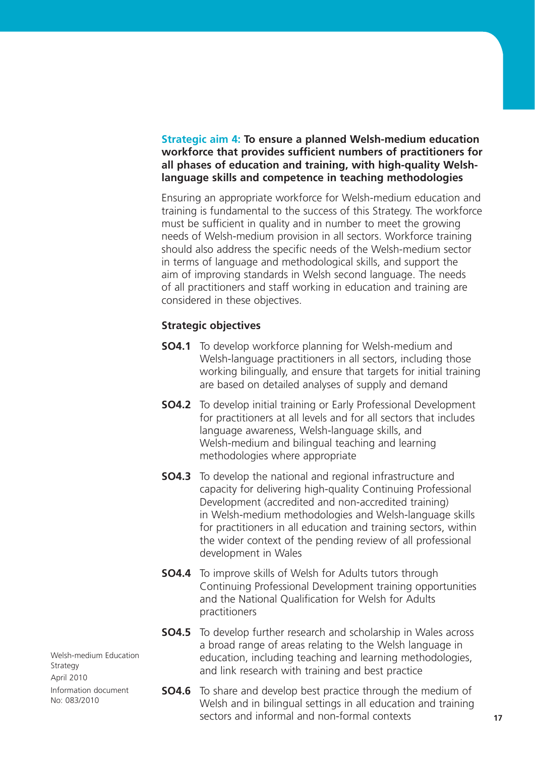#### **Strategic aim 4: To ensure a planned Welsh-medium education workforce that provides sufficient numbers of practitioners for all phases of education and training, with high-quality Welshlanguage skills and competence in teaching methodologies**

Ensuring an appropriate workforce for Welsh-medium education and training is fundamental to the success of this Strategy. The workforce must be sufficient in quality and in number to meet the growing needs of Welsh-medium provision in all sectors. Workforce training should also address the specific needs of the Welsh-medium sector in terms of language and methodological skills, and support the aim of improving standards in Welsh second language. The needs of all practitioners and staff working in education and training are considered in these objectives.

#### **Strategic objectives**

- **SO4.1** To develop workforce planning for Welsh-medium and Welsh-language practitioners in all sectors, including those working bilingually, and ensure that targets for initial training are based on detailed analyses of supply and demand
- **SO4.2** To develop initial training or Early Professional Development for practitioners at all levels and for all sectors that includes language awareness, Welsh-language skills, and Welsh-medium and bilingual teaching and learning methodologies where appropriate
- **SO4.3** To develop the national and regional infrastructure and capacity for delivering high-quality Continuing Professional Development (accredited and non-accredited training) in Welsh-medium methodologies and Welsh-language skills for practitioners in all education and training sectors, within the wider context of the pending review of all professional development in Wales
- **SO4.4** To improve skills of Welsh for Adults tutors through Continuing Professional Development training opportunities and the National Qualification for Welsh for Adults practitioners
- **SO4.5** To develop further research and scholarship in Wales across a broad range of areas relating to the Welsh language in education, including teaching and learning methodologies, and link research with training and best practice
- **SO4.6** To share and develop best practice through the medium of Welsh and in bilingual settings in all education and training sectors and informal and non-formal contexts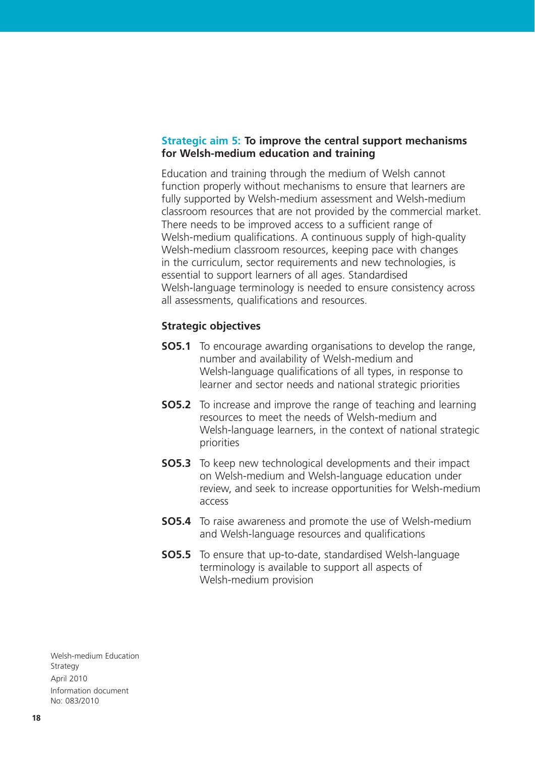#### **Strategic aim 5: To improve the central support mechanisms for Welsh-medium education and training**

Education and training through the medium of Welsh cannot function properly without mechanisms to ensure that learners are fully supported by Welsh-medium assessment and Welsh-medium classroom resources that are not provided by the commercial market. There needs to be improved access to a sufficient range of Welsh-medium qualifications. A continuous supply of high-quality Welsh-medium classroom resources, keeping pace with changes in the curriculum, sector requirements and new technologies, is essential to support learners of all ages. Standardised Welsh-language terminology is needed to ensure consistency across all assessments, qualifications and resources.

#### **Strategic objectives**

- **SO5.1** To encourage awarding organisations to develop the range, number and availability of Welsh-medium and Welsh-language qualifications of all types, in response to learner and sector needs and national strategic priorities
- **SO5.2** To increase and improve the range of teaching and learning resources to meet the needs of Welsh-medium and Welsh-language learners, in the context of national strategic priorities
- **SO5.3** To keep new technological developments and their impact on Welsh-medium and Welsh-language education under review, and seek to increase opportunities for Welsh-medium access
- **SO5.4** To raise awareness and promote the use of Welsh-medium and Welsh-language resources and qualifications
- **SO5.5** To ensure that up-to-date, standardised Welsh-language terminology is available to support all aspects of Welsh-medium provision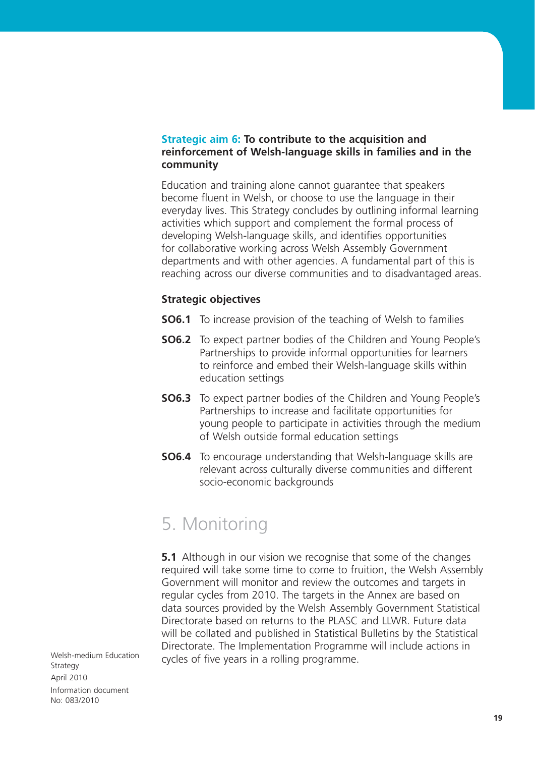#### **Strategic aim 6: To contribute to the acquisition and reinforcement of Welsh-language skills in families and in the community**

Education and training alone cannot guarantee that speakers become fluent in Welsh, or choose to use the language in their everyday lives. This Strategy concludes by outlining informal learning activities which support and complement the formal process of developing Welsh-language skills, and identifies opportunities for collaborative working across Welsh Assembly Government departments and with other agencies. A fundamental part of this is reaching across our diverse communities and to disadvantaged areas.

#### **Strategic objectives**

- **SO6.1** To increase provision of the teaching of Welsh to families
- **SO6.2** To expect partner bodies of the Children and Young People's Partnerships to provide informal opportunities for learners to reinforce and embed their Welsh-language skills within education settings
- **SO6.3** To expect partner bodies of the Children and Young People's Partnerships to increase and facilitate opportunities for young people to participate in activities through the medium of Welsh outside formal education settings
- **SO6.4** To encourage understanding that Welsh-language skills are relevant across culturally diverse communities and different socio-economic backgrounds

## 5. Monitoring

**5.1** Although in our vision we recognise that some of the changes required will take some time to come to fruition, the Welsh Assembly Government will monitor and review the outcomes and targets in regular cycles from 2010. The targets in the Annex are based on data sources provided by the Welsh Assembly Government Statistical Directorate based on returns to the PLASC and LLWR. Future data will be collated and published in Statistical Bulletins by the Statistical Directorate. The Implementation Programme will include actions in cycles of five years in a rolling programme.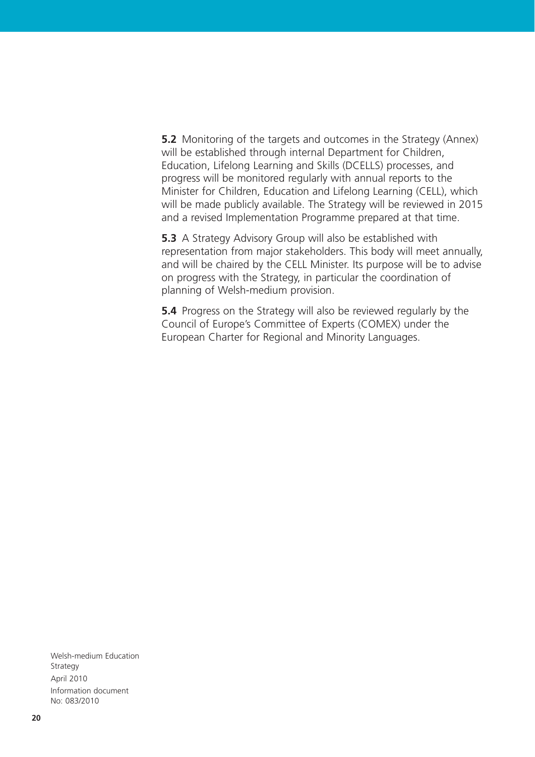**5.2** Monitoring of the targets and outcomes in the Strategy (Annex) will be established through internal Department for Children, Education, Lifelong Learning and Skills (DCELLS) processes, and progress will be monitored regularly with annual reports to the Minister for Children, Education and Lifelong Learning (CELL), which will be made publicly available. The Strategy will be reviewed in 2015 and a revised Implementation Programme prepared at that time.

**5.3** A Strategy Advisory Group will also be established with representation from major stakeholders. This body will meet annually, and will be chaired by the CELL Minister. Its purpose will be to advise on progress with the Strategy, in particular the coordination of planning of Welsh-medium provision.

**5.4** Progress on the Strategy will also be reviewed regularly by the Council of Europe's Committee of Experts (COMEX) under the European Charter for Regional and Minority Languages.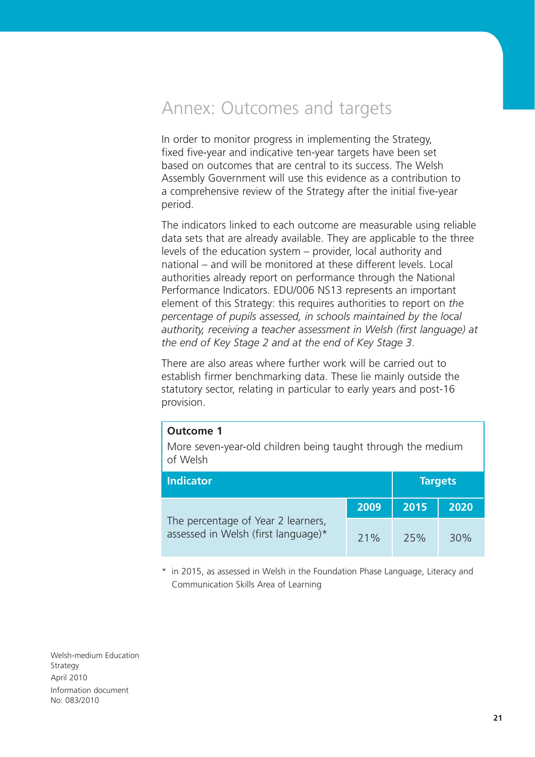## Annex: Outcomes and targets

In order to monitor progress in implementing the Strategy, fixed five-year and indicative ten-year targets have been set based on outcomes that are central to its success. The Welsh Assembly Government will use this evidence as a contribution to a comprehensive review of the Strategy after the initial five-year period.

The indicators linked to each outcome are measurable using reliable data sets that are already available. They are applicable to the three levels of the education system – provider, local authority and national – and will be monitored at these different levels. Local authorities already report on performance through the National Performance Indicators. EDU/006 NS13 represents an important element of this Strategy: this requires authorities to report on *the percentage of pupils assessed, in schools maintained by the local authority, receiving a teacher assessment in Welsh (first language) at the end of Key Stage 2 and at the end of Key Stage 3*.

There are also areas where further work will be carried out to establish firmer benchmarking data. These lie mainly outside the statutory sector, relating in particular to early years and post-16 provision.

#### **Outcome 1**

More seven-year-old children being taught through the medium of Welsh

| <b>Indicator</b>                                                          |      |      | <b>Targets</b> |
|---------------------------------------------------------------------------|------|------|----------------|
|                                                                           | 2009 | 2015 | 2020           |
| The percentage of Year 2 learners,<br>assessed in Welsh (first language)* | 71%  | 25%  | 30%            |

\* in 2015, as assessed in Welsh in the Foundation Phase Language, Literacy and Communication Skills Area of Learning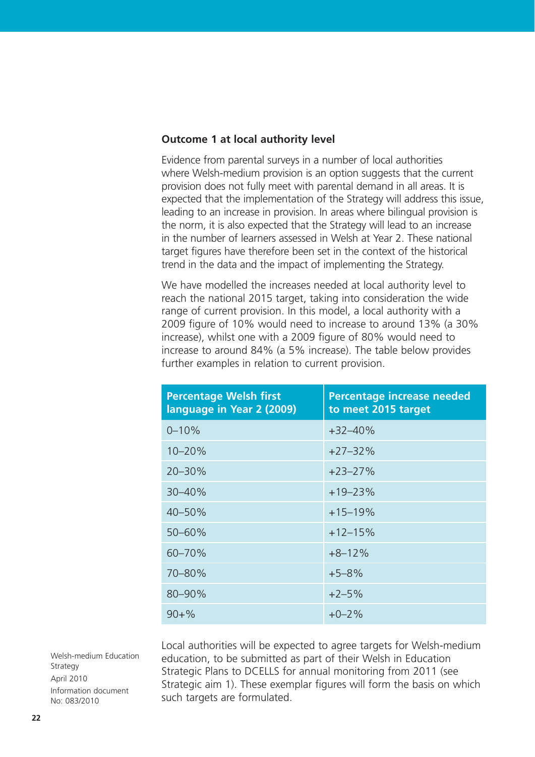#### **Outcome 1 at local authority level**

Evidence from parental surveys in a number of local authorities where Welsh-medium provision is an option suggests that the current provision does not fully meet with parental demand in all areas. It is expected that the implementation of the Strategy will address this issue, leading to an increase in provision. In areas where bilingual provision is the norm, it is also expected that the Strategy will lead to an increase in the number of learners assessed in Welsh at Year 2. These national target figures have therefore been set in the context of the historical trend in the data and the impact of implementing the Strategy.

We have modelled the increases needed at local authority level to reach the national 2015 target, taking into consideration the wide range of current provision. In this model, a local authority with a 2009 figure of 10% would need to increase to around 13% (a 30% increase), whilst one with a 2009 figure of 80% would need to increase to around 84% (a 5% increase). The table below provides further examples in relation to current provision.

| <b>Percentage Welsh first</b><br>language in Year 2 (2009) | <b>Percentage increase needed</b><br>to meet 2015 target |
|------------------------------------------------------------|----------------------------------------------------------|
| $0 - 10%$                                                  | $+32 - 40%$                                              |
| $10 - 20%$                                                 | $+27-32%$                                                |
| $20 - 30%$                                                 | $+23-27%$                                                |
| 30-40%                                                     | $+19-23%$                                                |
| 40-50%                                                     | $+15-19%$                                                |
| $50 - 60%$                                                 | $+12-15%$                                                |
| 60-70%                                                     | $+8-12%$                                                 |
| 70-80%                                                     | $+5 - 8%$                                                |
| 80-90%                                                     | $+2-5%$                                                  |
| $90 + \%$                                                  | $+0-2\%$                                                 |

Local authorities will be expected to agree targets for Welsh-medium education, to be submitted as part of their Welsh in Education Strategic Plans to DCELLS for annual monitoring from 2011 (see Strategic aim 1). These exemplar figures will form the basis on which such targets are formulated.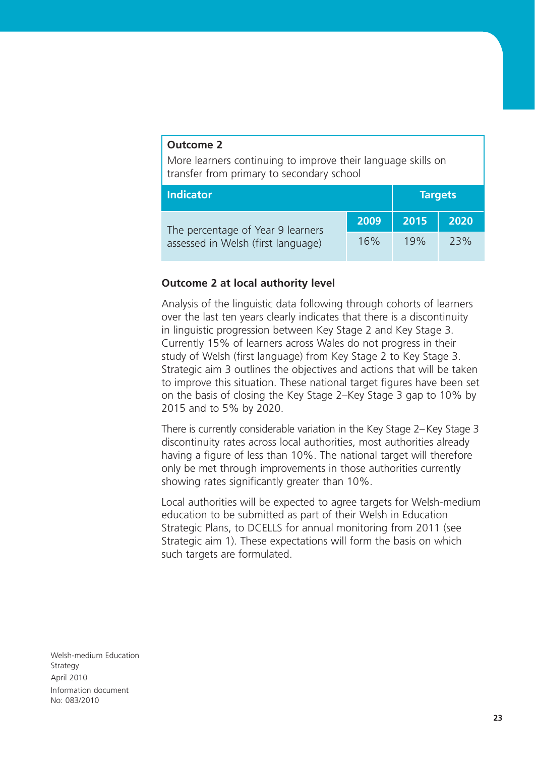#### **Outcome 2**

More learners continuing to improve their language skills on transfer from primary to secondary school

| <b>Indicator</b>                   |      |      | <b>Targets</b> |
|------------------------------------|------|------|----------------|
| The percentage of Year 9 learners  | 2009 | 2015 | 2020           |
| assessed in Welsh (first language) | 16%  | 19%  | 23%            |

#### **Outcome 2 at local authority level**

Analysis of the linguistic data following through cohorts of learners over the last ten years clearly indicates that there is a discontinuity in linguistic progression between Key Stage 2 and Key Stage 3. Currently 15% of learners across Wales do not progress in their study of Welsh (first language) from Key Stage 2 to Key Stage 3. Strategic aim 3 outlines the objectives and actions that will be taken to improve this situation. These national target figures have been set on the basis of closing the Key Stage 2–Key Stage 3 gap to 10% by 2015 and to 5% by 2020.

There is currently considerable variation in the Key Stage 2–Key Stage 3 discontinuity rates across local authorities, most authorities already having a figure of less than 10%. The national target will therefore only be met through improvements in those authorities currently showing rates significantly greater than 10%.

Local authorities will be expected to agree targets for Welsh-medium education to be submitted as part of their Welsh in Education Strategic Plans, to DCELLS for annual monitoring from 2011 (see Strategic aim 1). These expectations will form the basis on which such targets are formulated.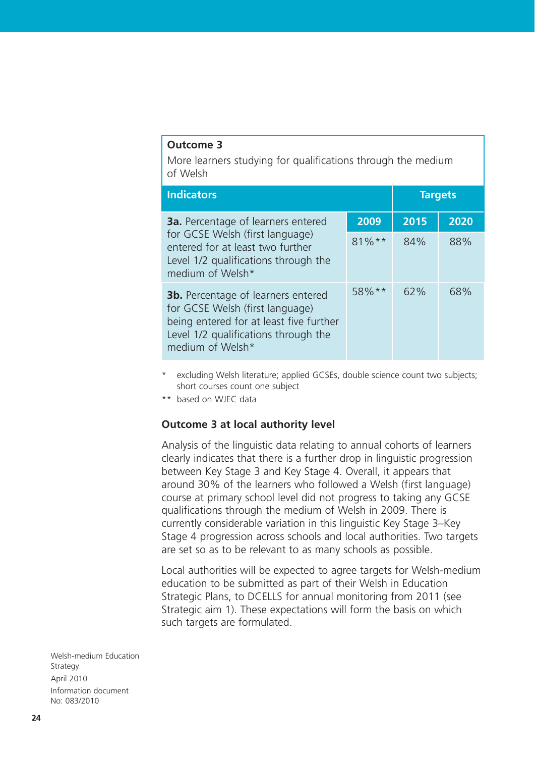#### **Outcome 3**

More learners studying for qualifications through the medium of Welsh

| <b>Indicators</b>                                                                                                                                                                   |          | <b>Targets</b> |      |
|-------------------------------------------------------------------------------------------------------------------------------------------------------------------------------------|----------|----------------|------|
| <b>3a.</b> Percentage of learners entered                                                                                                                                           | 2009     | 2015           | 2020 |
| for GCSE Welsh (first language)<br>entered for at least two further<br>Level 1/2 qualifications through the<br>medium of Welsh*                                                     | $81\%**$ | 84%            | 88%  |
| <b>3b.</b> Percentage of learners entered<br>for GCSE Welsh (first language)<br>being entered for at least five further<br>Level 1/2 qualifications through the<br>medium of Welsh* | $58\%**$ | 62%            | 68%  |

- excluding Welsh literature; applied GCSEs, double science count two subjects; short courses count one subject
- \*\* based on WJEC data

#### **Outcome 3 at local authority level**

Analysis of the linguistic data relating to annual cohorts of learners clearly indicates that there is a further drop in linguistic progression between Key Stage 3 and Key Stage 4. Overall, it appears that around 30% of the learners who followed a Welsh (first language) course at primary school level did not progress to taking any GCSE qualifications through the medium of Welsh in 2009. There is currently considerable variation in this linguistic Key Stage 3–Key Stage 4 progression across schools and local authorities. Two targets are set so as to be relevant to as many schools as possible.

Local authorities will be expected to agree targets for Welsh-medium education to be submitted as part of their Welsh in Education Strategic Plans, to DCELLS for annual monitoring from 2011 (see Strategic aim 1). These expectations will form the basis on which such targets are formulated.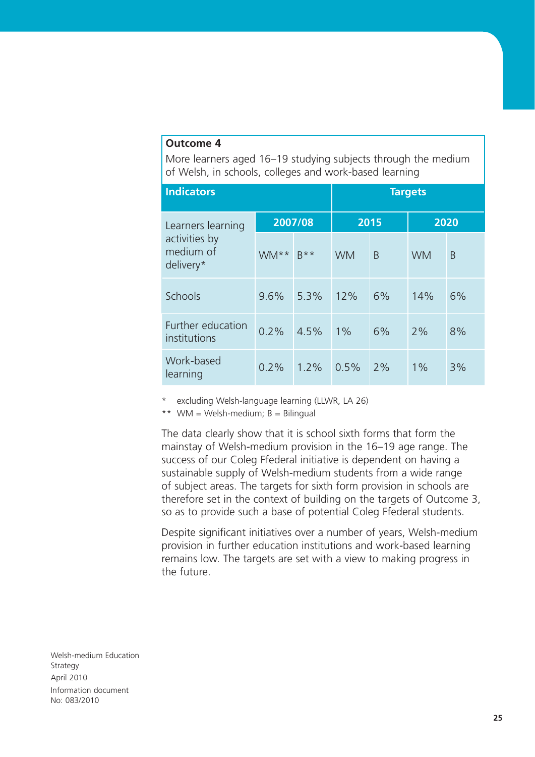#### **Outcome 4**

More learners aged 16–19 studying subjects through the medium of Welsh, in schools, colleges and work-based learning

| <b>Indicators</b>                       |      |         |           | <b>Targets</b> |           |    |
|-----------------------------------------|------|---------|-----------|----------------|-----------|----|
| Learners learning                       |      | 2007/08 | 2015      |                | 2020      |    |
| activities by<br>medium of<br>delivery* | WM** | $R***$  | <b>WM</b> | B              | <b>WM</b> | B  |
| Schools                                 | 9.6% | 5.3%    | 12%       | 6%             | 14%       | 6% |
| Further education<br>institutions       | 0.2% | 4.5%    | 1%        | 6%             | 2%        | 8% |
| Work-based<br>learning                  | 0.2% | 1.2%    | 0.5%      | 2%             | 1%        | 3% |

excluding Welsh-language learning (LLWR, LA 26)

\*\* WM = Welsh-medium;  $B = B$ ilingual

The data clearly show that it is school sixth forms that form the mainstay of Welsh-medium provision in the 16–19 age range. The success of our Coleg Ffederal initiative is dependent on having a sustainable supply of Welsh-medium students from a wide range of subject areas. The targets for sixth form provision in schools are therefore set in the context of building on the targets of Outcome 3, so as to provide such a base of potential Coleg Ffederal students.

Despite significant initiatives over a number of years, Welsh-medium provision in further education institutions and work-based learning remains low. The targets are set with a view to making progress in the future.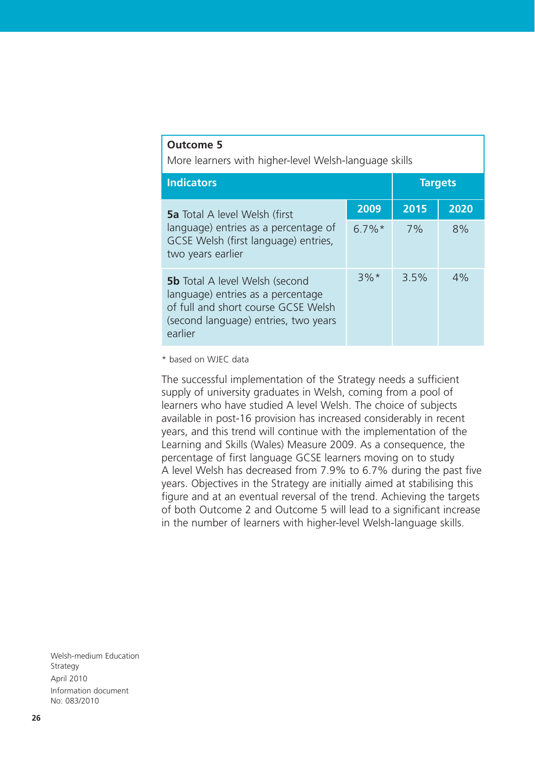| outtome p<br>More learners with higher-level Welsh-language skills                                                                                                   |          |                |      |
|----------------------------------------------------------------------------------------------------------------------------------------------------------------------|----------|----------------|------|
| <b>Indicators</b>                                                                                                                                                    |          | <b>Targets</b> |      |
| <b>5a</b> Total A level Welsh (first                                                                                                                                 | 2009     | 2015           | 2020 |
| language) entries as a percentage of<br>GCSE Welsh (first language) entries,<br>two years earlier                                                                    | $6.7\%*$ | 7%             | 8%   |
| <b>5b</b> Total A level Welsh (second<br>language) entries as a percentage<br>of full and short course GCSE Welsh<br>(second language) entries, two years<br>earlier | $3\%$ *  | 3.5%           | 4%   |

\* based on WJEC data

**Outcome 5**

The successful implementation of the Strategy needs a sufficient supply of university graduates in Welsh, coming from a pool of learners who have studied A level Welsh. The choice of subjects available in post-16 provision has increased considerably in recent years, and this trend will continue with the implementation of the Learning and Skills (Wales) Measure 2009. As a consequence, the percentage of first language GCSE learners moving on to study A level Welsh has decreased from 7.9% to 6.7% during the past five years. Objectives in the Strategy are initially aimed at stabilising this figure and at an eventual reversal of the trend. Achieving the targets of both Outcome 2 and Outcome 5 will lead to a significant increase in the number of learners with higher-level Welsh-language skills.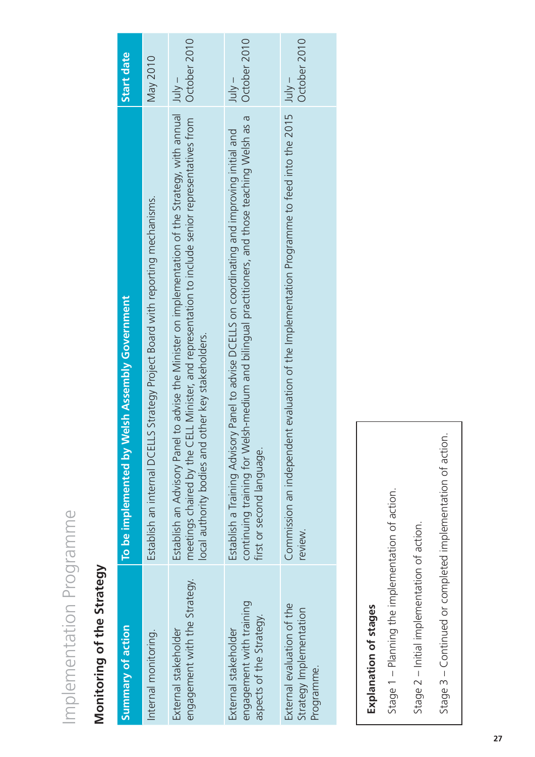# Implementation Programme Implementation Programme

## Monitoring of the Strategy **Monitoring of the Strategy**

| Summary of action                                                            | To be implemented by Welsh Assembly Government                                                                                                                                                                                                             | Start date               |
|------------------------------------------------------------------------------|------------------------------------------------------------------------------------------------------------------------------------------------------------------------------------------------------------------------------------------------------------|--------------------------|
| Internal monitoring.                                                         | Establish an internal DCELLS Strategy Project Board with reporting mechanisms.                                                                                                                                                                             | May 2010                 |
| engagement with the Strategy.<br>External stakeholder                        | Establish an Advisory Panel to advise the Minister on implementation of the Strategy, with annual<br>meetings chaired by the CELL Minister, and representation to include senior representatives from<br>ocal authority bodies and other key stakeholders. | October 2010<br>$July -$ |
| engagement with training<br>aspects of the Strategy.<br>External stakeholder | continuing training for Welsh-medium and bilingual practitioners, and those teaching Welsh as a<br>Establish a Training Advisory Panel to advise DCELLS on coordinating and improving initial and<br>first or second language.                             | October 2010<br>$-$ ylul |
| External evaluation of the<br>Strategy Implementation<br>Programme.          | Commission an independent evaluation of the Implementation Programme to feed into the 2015<br>review.                                                                                                                                                      | October 2010<br>$-$ ylul |

## Explanation of stages **Explanation of stages**

Stage 1 - Planning the implementation of action. Stage 1 – Planning the implementation of action.

Stage 2 - Initial implementation of action. Stage 2 – Initial implementation of action.

Stage 3 - Continued or completed implementation of action. Stage 3 – Continued or completed implementation of action.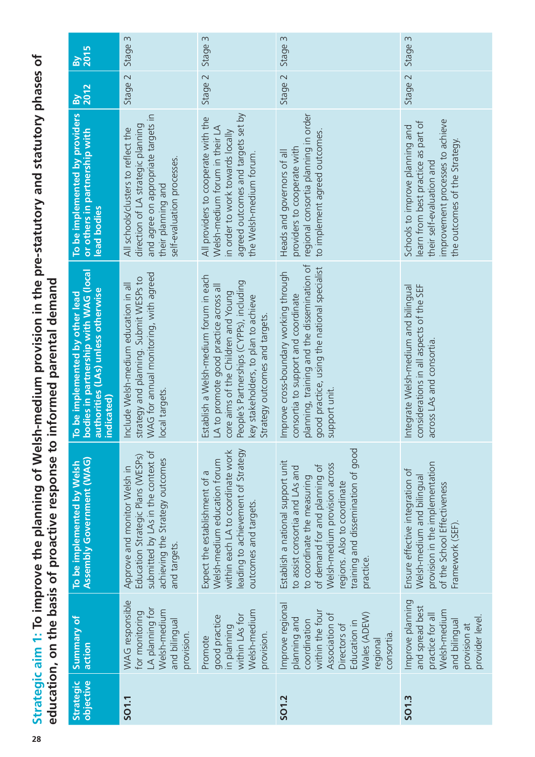Strategic aim 1: To improve the planning of Welsh-medium provision in the pre-statutory and statutory phases of **Strategic aim 1: To improve the planning of Welsh-medium provision in the pre-statutory and statutory phases of**  education, on the basis of proactive response to informed parental demand **education, on the basis of proactive response to informed parental demand**

| <b>By</b><br>2015                                                                                                            | Stage 3                                                                                                                                                              | Stage 3                                                                                                                                                                                                                                      | Stage 3                                                                                                                                                                                                                                                 | Stage 3                                                                                                                                                                 |
|------------------------------------------------------------------------------------------------------------------------------|----------------------------------------------------------------------------------------------------------------------------------------------------------------------|----------------------------------------------------------------------------------------------------------------------------------------------------------------------------------------------------------------------------------------------|---------------------------------------------------------------------------------------------------------------------------------------------------------------------------------------------------------------------------------------------------------|-------------------------------------------------------------------------------------------------------------------------------------------------------------------------|
| By<br>2012                                                                                                                   | Stage 2                                                                                                                                                              | Stage 2                                                                                                                                                                                                                                      | Stage 2                                                                                                                                                                                                                                                 | Stage 2                                                                                                                                                                 |
| To be implemented by providers<br>or others in partnership with<br>lead bodies                                               | and agree on appropriate targets in<br>direction of LA strategic planning<br>All schools/clusters to reflect the<br>self-evaluation processes.<br>their planning and | agreed outcomes and targets set by<br>All providers to cooperate with the<br>Welsh-medium forum in their LA<br>in order to work towards locally<br>the Welsh-medium forum.                                                                   | regional consortia planning in order<br>to implement agreed outcomes.<br>providers to cooperate with<br>Heads and governors of all                                                                                                                      | improvement processes to achieve<br>learn from best practice as part of<br>Schools to improve planning and<br>the outcomes of the Strategy<br>their self-evaluation and |
| bodies in partnership with WAG (local<br>authorities (LAs) unless otherwise<br>To be implemented by other lead<br>indicated) | WAG for annual monitoring, with agreed<br>strategy and planning. Submit WESPs to<br>Include Welsh-medium education in all<br>local targets.                          | Establish a Welsh-medium forum in each<br>People's Partnerships (CYPPs), including<br>LA to promote good practice across al<br>core aims of the Children and Young<br>key stakeholders, to plan to achieve<br>Strategy outcomes and targets. | planning, training and the dissemination of<br>good practice, using the national specialist<br>Improve cross-boundary working through<br>consortia to support and coordinate<br>support unit.                                                           | considerations in all aspects of the SEF<br>Integrate Welsh-medium and bilingual<br>across LAs and consortia                                                            |
| <b>Assembly Government (WAG)</b><br>To be implemented by Welsh                                                               | submitted by LAs in the context of<br>Education Strategic Plans (WESPs)<br>achieving the Strategy outcomes<br>Approve and monitor Welsh in<br>and targets.           | within each LA to coordinate work<br>eading to achievement of Strategy<br>Welsh-medium education forum<br>Expect the establishment of a<br>outcomes and targets.                                                                             | training and dissemination of good<br>Establish a national support unit<br>Welsh-medium provision across<br>of demand for and planning of<br>to assist consortia and LAs and<br>to coordinate the measuring<br>regions. Also to coordinate<br>practice. | provision in the implementation<br>Ensure effective integration of<br>Welsh-medium and bilingual<br>of the School Effectiveness<br>Framework (SEF)                      |
| Summary of<br>action                                                                                                         | WAG responsible<br>LA planning for<br>Welsh-medium<br>for monitoring<br>and bilingual<br>provision.                                                                  | Welsh-medium<br>within LAs for<br>good practice<br>in planning<br>provision.<br>Promote                                                                                                                                                      | Improve regional<br>within the four<br>Wales (ADEW)<br>Association of<br>planning and<br>coordination<br>Education in<br>Directors of<br>consortia.<br>regional                                                                                         | Improve planning<br>and spread best<br>Welsh-medium<br>practice for all<br>provider level.<br>and bilingual<br>provision at                                             |
| objective<br>Strategic                                                                                                       | SO1.1                                                                                                                                                                |                                                                                                                                                                                                                                              | SO1.2                                                                                                                                                                                                                                                   | SO1.3                                                                                                                                                                   |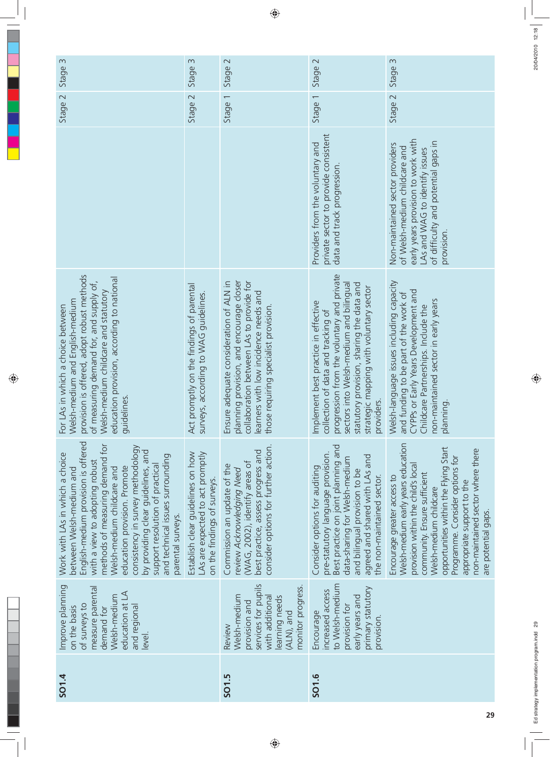| Stage 3                                                                                                                                                                                                                                                                                                                                                                                                      | Stage 3                                                                                              | Stage 2                                                                                                                                                                                                          | Stage 2                                                                                                                                                                                                                                                                   | Stage 3                                                                                                                                                                                                                                                                                                                                 |
|--------------------------------------------------------------------------------------------------------------------------------------------------------------------------------------------------------------------------------------------------------------------------------------------------------------------------------------------------------------------------------------------------------------|------------------------------------------------------------------------------------------------------|------------------------------------------------------------------------------------------------------------------------------------------------------------------------------------------------------------------|---------------------------------------------------------------------------------------------------------------------------------------------------------------------------------------------------------------------------------------------------------------------------|-----------------------------------------------------------------------------------------------------------------------------------------------------------------------------------------------------------------------------------------------------------------------------------------------------------------------------------------|
| Stage 2                                                                                                                                                                                                                                                                                                                                                                                                      | Stage 2                                                                                              | Stage 1                                                                                                                                                                                                          | Stage 1                                                                                                                                                                                                                                                                   | Stage 2                                                                                                                                                                                                                                                                                                                                 |
|                                                                                                                                                                                                                                                                                                                                                                                                              |                                                                                                      |                                                                                                                                                                                                                  | private sector to provide consistent<br>Providers from the voluntary and<br>data and track progression                                                                                                                                                                    | early years provision to work with<br>of difficulty and potential gaps in<br>Non-maintained sector providers<br>of Welsh-medium childcare and<br>LAs and WAG to identify issues<br>provision.                                                                                                                                           |
| provision is offered, adopt robust methods<br>education provision, according to national<br>of measuring demand for, and supply of,<br>Welsh-medium childcare and statutory<br>Welsh-medium and English-medium<br>For LAs in which a choice between<br>guidelines.                                                                                                                                           | Act promptly on the findings of parental<br>surveys, according to WAG guidelines.                    | planning provision, and encourage closer<br>collaboration between LAs to provide for<br>Ensure adequate consideration of ALN in<br>learners with low incidence needs and<br>those requiring specialist provision | progression from the voluntary and private<br>sectors into Welsh-medium and bilingual<br>statutory provision, sharing the data and<br>strategic mapping with voluntary sector<br>Implement best practice in effective<br>collection of data and tracking of<br>providers. | Welsh-language issues including capacity<br>CYPPs or Early Years Development and<br>and funding to be part of the work of<br>non-maintained sector in early years<br>Childcare Partnerships. Include the<br>planning                                                                                                                    |
| English-medium provision is offered<br>methods of measuring demand for<br>consistency in survey methodology<br>by providing clear guidelines, and<br>Work with LAs in which a choice<br>and technical issues surrounding<br>with a view to adopting robust<br>support resolution of practical<br>education provision. Promote<br>between Welsh-medium and<br>Welsh-medium childcare and<br>parental surveys. | Establish clear guidelines on how<br>LAs are expected to act promptly<br>on the findings of surveys. | consider options for further action.<br>best practice, assess progress and<br>(WAG, 2002), identify areas of<br>Commission an update of the<br>review Acknowledging Need                                         | Best practice on joint planning and<br>pre-statutory language provision.<br>agreed and shared with LAs and<br>data-sharing for Welsh-medium<br>Consider options for auditing<br>and bilingual provision to be<br>the non-maintained sector.                               | Welsh-medium early years education<br>opportunities within the Flying Start<br>non-maintained sector where there<br>Programme. Consider options for<br>provision within the child's local<br>community. Ensure sufficient<br>Encourage greater access to<br>appropriate support to the<br>Welsh-medium childcare<br>are potential gaps. |
| Improve planning<br>measure parental<br>education at LA<br>Welsh-medium<br>of surveys to<br>and regional<br>on the basis<br>demand for<br>level.                                                                                                                                                                                                                                                             |                                                                                                      | services for pupils<br>monitor progress.<br>Welsh-medium<br>with additional<br>learning needs<br>provision and<br>(ALN), and<br>Review                                                                           | to Welsh-medium<br>primary statutory<br>increased access<br>early years and<br>provision for<br>Encourage<br>provision.                                                                                                                                                   |                                                                                                                                                                                                                                                                                                                                         |
| <b>SO1.4</b>                                                                                                                                                                                                                                                                                                                                                                                                 |                                                                                                      | SO1.5                                                                                                                                                                                                            | SO1.6                                                                                                                                                                                                                                                                     |                                                                                                                                                                                                                                                                                                                                         |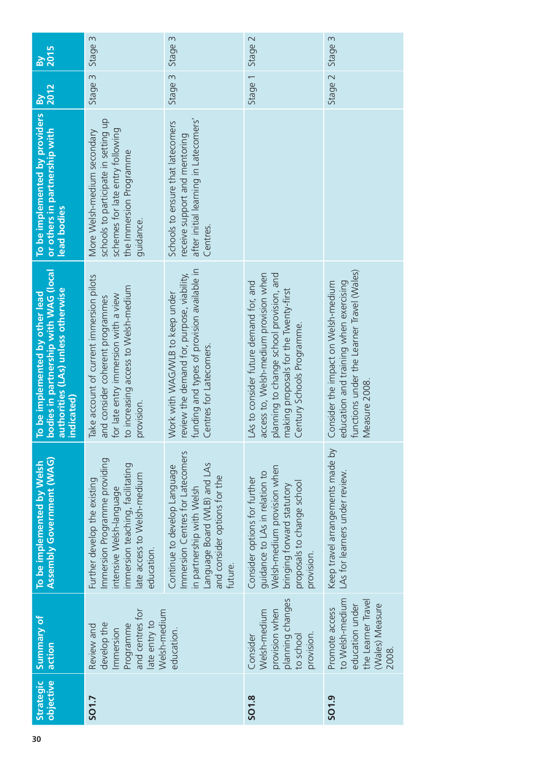| 2015<br>$\mathbf{B}^{\prime}$                                                                                               | Stage 3                                                                                                                                                                    | Stage 3                                                                                                                                                                  | Stage 2                                                                                                                                                                                            | Stage 3                                                                                                                                     |
|-----------------------------------------------------------------------------------------------------------------------------|----------------------------------------------------------------------------------------------------------------------------------------------------------------------------|--------------------------------------------------------------------------------------------------------------------------------------------------------------------------|----------------------------------------------------------------------------------------------------------------------------------------------------------------------------------------------------|---------------------------------------------------------------------------------------------------------------------------------------------|
| 2012<br>$\overline{\mathsf{B}}$                                                                                             | Stage 3                                                                                                                                                                    | Stage 3                                                                                                                                                                  | Stage 1                                                                                                                                                                                            | Stage 2                                                                                                                                     |
| To be implemented by providers<br>or others in partnership with<br>lead bodies                                              | schools to participate in setting up<br>schemes for late entry following<br>More Welsh-medium secondary<br>the Immersion Programme<br>guidance.                            | after initial learning in Latecomers'<br>Schools to ensure that latecomers<br>receive support and mentoring<br>Centres.                                                  |                                                                                                                                                                                                    |                                                                                                                                             |
| bodies in partnership with WAG (local<br>authorities (LAs) unless otherwise<br>To be implemented by other lead<br>ndicated) | ake account of current immersion pilots<br>to increasing access to Welsh-medium<br>for late entry immersion with a view<br>and consider coherent programmes<br>provision.  | unding and types of provision available in<br>eview the demand for, purpose, viability,<br>Nork with WAG/WLB to keep under<br>Centres for Latecomers.                    | access to, Welsh-medium provision when<br>planning to change school provision, and<br>As to consider future demand for, and<br>making proposals for the Twenty-first<br>Century Schools Programme. | functions under the Learner Travel (Wales)<br>education and training when exercising<br>Consider the impact on Welsh-medium<br>Measure 2008 |
| <b>Assembly Government (WAG)</b><br>To be implemented by Welsh                                                              | Immersion Programme providing<br>immersion teaching, facilitating<br>late access to Welsh-medium<br>Further develop the existing<br>intensive Welsh-language<br>education. | Immersion Centres for Latecomers<br>Language Board (WLB) and LAs<br>Continue to develop Language<br>and consider options for the<br>in partnership with Welsh<br>future. | Welsh-medium provision when<br>guidance to LAs in relation to<br>Consider options for further<br>proposals to change school<br>bringing forward statutory<br>provision.                            | Keep travel arrangements made by<br>LAs for learners under review.                                                                          |
| Summary of<br>action                                                                                                        | and centres for<br>Welsh-medium<br>late entry to<br>develop the<br>Programme<br>Review and<br>Immersion                                                                    | education.                                                                                                                                                               | planning changes<br>provision when<br>Welsh-medium<br>provision.<br>to school<br>Consider                                                                                                          | to Welsh-medium<br>the Learner Travel<br>(Wales) Measure<br>education under<br>Promote access<br>2008.                                      |
| objective<br>Strategic                                                                                                      | SO1.7                                                                                                                                                                      |                                                                                                                                                                          | SO1.8                                                                                                                                                                                              | SO1.9                                                                                                                                       |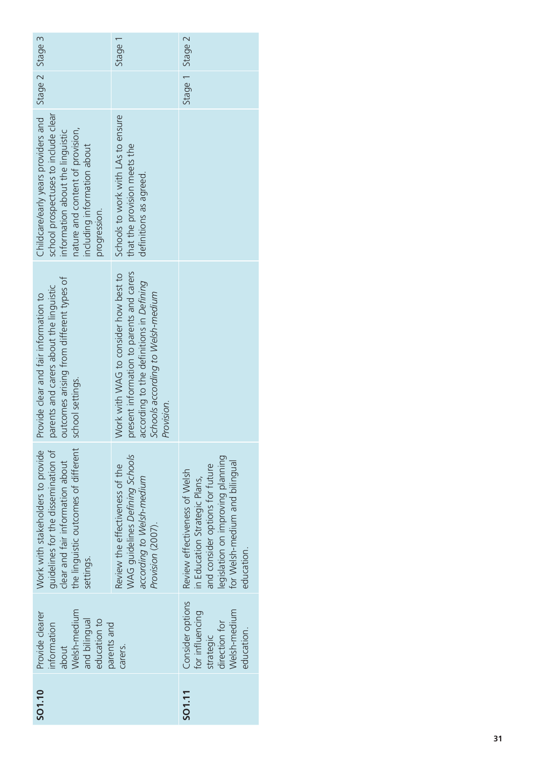| SO1.10 | Welsh-medium<br>Provide clearer<br>and bilingual<br>education to<br>information<br>about        | the linguistic outcomes of different<br>Work with stakeholders to provide<br>guidelines for the dissemination of<br>clear and fair information about<br>settings.                      | outcomes arising from different types of<br>parents and carers about the linguistic<br>Provide clear and fair information to<br>school settings.                                  | Childcare/early years providers and Stage 2 Stage 3<br>school prospectuses to include clear<br>nature and content of provision,<br>information about the linguistic<br>including information about<br>progression. |                 |         |
|--------|-------------------------------------------------------------------------------------------------|----------------------------------------------------------------------------------------------------------------------------------------------------------------------------------------|-----------------------------------------------------------------------------------------------------------------------------------------------------------------------------------|--------------------------------------------------------------------------------------------------------------------------------------------------------------------------------------------------------------------|-----------------|---------|
|        | parents and<br>carers.                                                                          | WAG quidelines Defining Schools<br>Review the effectiveness of the<br>according to Welsh-medium<br>Provision (2007).                                                                   | present information to parents and carers<br>Nork with WAG to consider how best to<br>according to the definitions in Defining<br>Schools according to Welsh-medium<br>Provision. | Schools to work with LAs to ensure<br>that the provision meets the<br>definitions as agreed.                                                                                                                       |                 | Stage 1 |
| SO1.11 | Consider options<br>Welsh-medium<br>for influencing<br>direction for<br>education.<br>strategic | legislation on improving planning<br>for Welsh-medium and bilingual<br>and consider options for future<br>Review effectiveness of Welsh<br>in Education Strategic Plans,<br>education. |                                                                                                                                                                                   |                                                                                                                                                                                                                    | Stage 1 Stage 2 |         |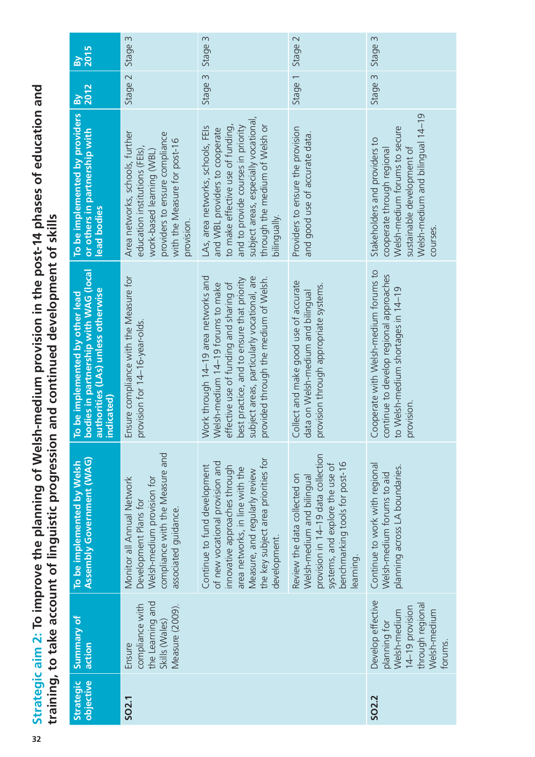**Strategic aim 2: To improve the planning of Welsh-medium provision in the post-14 phases of education and**  Strategic aim 2: To improve the planning of Welsh-medium provision in the post-14 phases of education and<br>training, to take account of linguistic progression and continued development of skills **training, to take account of linguistic progression and continued development of skills**

| <b>By</b><br>2015                                                                                                            | $\sim$<br>Stage                                                                                                                                                                | Stage 3                                                                                                                                                                                                                                                    | Stage 2                                                                                                               | Stage 3                                                                                                                                                                    |
|------------------------------------------------------------------------------------------------------------------------------|--------------------------------------------------------------------------------------------------------------------------------------------------------------------------------|------------------------------------------------------------------------------------------------------------------------------------------------------------------------------------------------------------------------------------------------------------|-----------------------------------------------------------------------------------------------------------------------|----------------------------------------------------------------------------------------------------------------------------------------------------------------------------|
| 2012<br>$\mathbf{g}$                                                                                                         | Stage 2                                                                                                                                                                        | Stage 3                                                                                                                                                                                                                                                    | Stage 1                                                                                                               | Stage 3                                                                                                                                                                    |
| To be implemented by providers<br>or others in partnership with<br>lead bodies                                               | Area networks, schools, further<br>providers to ensure compliance<br>with the Measure for post-16<br>education institutions (FEIs),<br>work-based learning (WBL)<br>provision. | subject areas, especially vocational,<br>to make effective use of funding,<br>through the medium of Welsh or<br>LAs, area networks, schools, FEIs<br>and to provide courses in priority<br>and WBL providers to cooperate<br>bilingually.                  | Providers to ensure the provision<br>and good use of accurate data.                                                   | Welsh-medium and bilingual 14-19<br>Welsh-medium forums to secure<br>Stakeholders and providers to<br>sustainable development of<br>cooperate through regional<br>courses. |
| bodies in partnership with WAG (local<br>authorities (LAs) unless otherwise<br>To be implemented by other lead<br>indicated) | Ensure compliance with the Measure for<br>provision for 14-16-year-olds.                                                                                                       | Work through 14-19 area networks and<br>subject areas, particularly vocational, are<br>best practice, and to ensure that priority<br>provided through the medium of Welsh.<br>Welsh-medium 14-19 forums to make<br>effective use of funding and sharing of | Collect and make good use of accurate<br>provision through appropriate systems.<br>data on Welsh-medium and bilingual | Cooperate with Welsh-medium forums to<br>continue to develop regional approaches<br>to Welsh-medium shortages in 14-19<br>provision.                                       |
| <b>Assembly Government (WAG)</b><br>To be implemented by Welsh                                                               | compliance with the Measure and<br>Welsh-medium provision for<br>Monitor all Annual Network<br>Development Plans for<br>associated guidance.                                   | Continue to work with regional<br>planning across LA boundaries.<br>Welsh-medium forums to aid                                                                                                                                                             |                                                                                                                       |                                                                                                                                                                            |
| Summary of<br>action                                                                                                         | the Learning and<br>compliance with<br>Measure (2009).<br>Skills (Wales)<br>Ensure                                                                                             |                                                                                                                                                                                                                                                            |                                                                                                                       | Develop effective<br>through regional<br>14-19 provision<br>Welsh-medium<br>Welsh-medium<br>planning for<br>forums.                                                        |
| objective<br>Strategic                                                                                                       | SO <sub>2.1</sub>                                                                                                                                                              |                                                                                                                                                                                                                                                            |                                                                                                                       | SO <sub>2.2</sub>                                                                                                                                                          |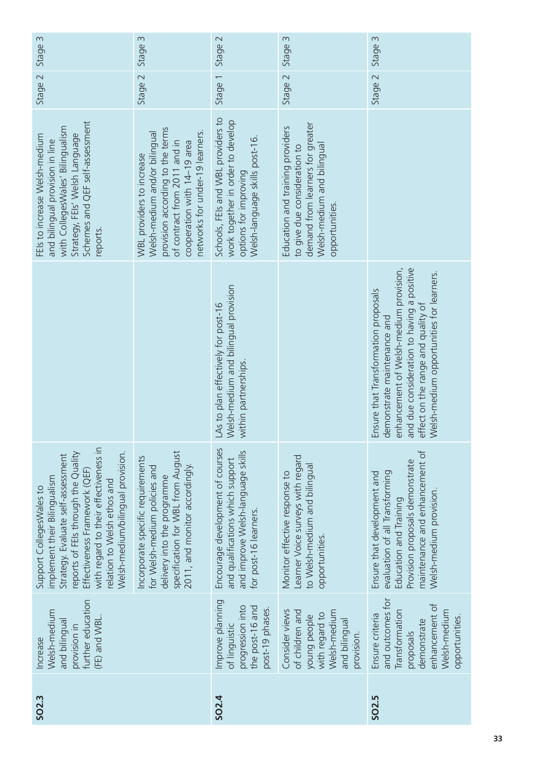| Stage 3                                                                                                                                                                                                                                                                             | Stage 3                                                                                                                                                                                          | Stage 2                                                                                                                            | Stage 3                                                                                                                                              | Stage 3                                                                                                                                                                                                                                       |
|-------------------------------------------------------------------------------------------------------------------------------------------------------------------------------------------------------------------------------------------------------------------------------------|--------------------------------------------------------------------------------------------------------------------------------------------------------------------------------------------------|------------------------------------------------------------------------------------------------------------------------------------|------------------------------------------------------------------------------------------------------------------------------------------------------|-----------------------------------------------------------------------------------------------------------------------------------------------------------------------------------------------------------------------------------------------|
| Stage 2                                                                                                                                                                                                                                                                             | Stage 2                                                                                                                                                                                          | $\overline{\phantom{0}}$<br>Stage <sup>-</sup>                                                                                     | Stage 2                                                                                                                                              | Stage 2                                                                                                                                                                                                                                       |
| Schemes and QEF self-assessment<br>with CollegesWales' Bilingualism<br>Strategy, FEIs' Welsh Language<br>FEIs to increase Welsh-medium<br>and bilingual provision in line<br>reports.                                                                                               | provision according to the terms<br>networks for under-19 learners.<br>Welsh-medium and/or bilingual<br>of contract from 2011 and in<br>cooperation with 14-19 area<br>WBL providers to increase | Schools, FEIs and WBL providers to<br>work together in order to develop<br>Welsh-language skills post-16.<br>options for improving | demand from learners for greater<br>Education and training providers<br>Welsh-medium and bilingual<br>to give due consideration to<br>opportunities. |                                                                                                                                                                                                                                               |
|                                                                                                                                                                                                                                                                                     |                                                                                                                                                                                                  | Welsh-medium and bilingual provision<br>As to plan effectively for post-16<br>within partnerships                                  |                                                                                                                                                      | and due consideration to having a positive<br>enhancement of Welsh-medium provision,<br>Welsh-medium opportunities for learners.<br>Ensure that Transformation proposals<br>effect on the range and quality of<br>lemonstrate maintenance and |
| with regard to their effectiveness in<br>Welsh-medium/bilingual provision.<br>reports of FEIs through the Quality<br>Strategy. Evaluate self-assessment<br>Effectiveness Framework (QEF)<br>implement their Bilingualism<br>relation to Welsh ethos and<br>Support CollegesWales to | specification for WBL from August<br>Incorporate specific requirements<br>2011, and monitor accordingly.<br>for Welsh-medium policies and<br>delivery into the programme                         | Encourage development of courses<br>and improve Welsh-language skills<br>and qualifications which support<br>for post-16 learners. | Learner Voice surveys with regard<br>to Welsh-medium and bilingual<br>Monitor effective response to<br>opportunities                                 | maintenance and enhancement of<br>Provision proposals demonstrate<br>evaluation of all Transforming<br>Ensure that development and<br>Welsh-medium provision.<br>Education and Training                                                       |
| further education<br>Welsh-medium<br>(FE) and WBL<br>and bilingual<br>provision in<br>Increase                                                                                                                                                                                      |                                                                                                                                                                                                  | Improve planning<br>progression into<br>the post-16 and<br>post-19 phases.<br>of linguistic                                        | Consider views<br>of children and<br>Welsh-medium<br>with regard to<br>young people<br>and bilingual<br>provision.                                   | and outcomes for<br>enhancement of<br>Welsh-medium<br>Transformation<br>Ensure criteria<br>opportunities.<br>demonstrate<br>proposals                                                                                                         |
| SO <sub>2.3</sub>                                                                                                                                                                                                                                                                   |                                                                                                                                                                                                  | SO <sub>2.4</sub>                                                                                                                  |                                                                                                                                                      | SO2.5                                                                                                                                                                                                                                         |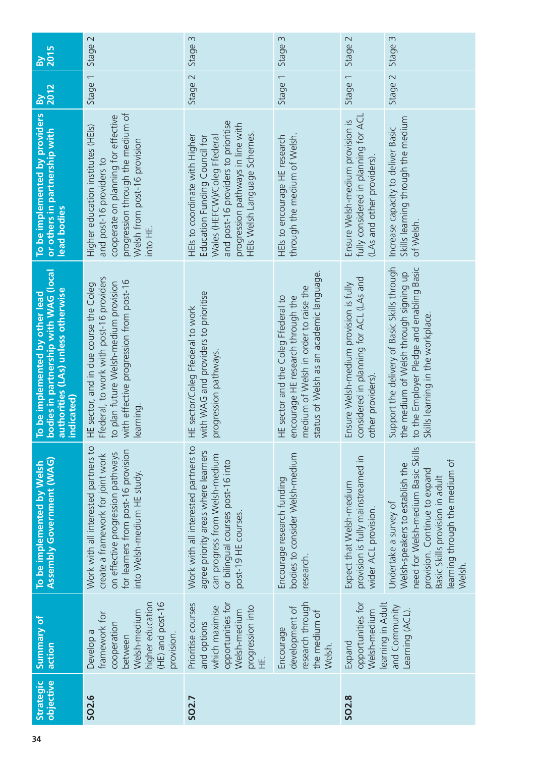| <b>By<br/>2015</b><br>2012<br>$\mathbf{g}$                                                                                   | Stage 2<br>Stage 1                                                                                                                                                                     | 3<br>Stage:<br>Stage 2                                                                                                                                                                                      | Stage 3<br>Stage 1                                                                                                                                            | Stage 2<br>Stage 1                                                                                     | Stage 3<br>Stage 2                                                                                                                                                                                             |
|------------------------------------------------------------------------------------------------------------------------------|----------------------------------------------------------------------------------------------------------------------------------------------------------------------------------------|-------------------------------------------------------------------------------------------------------------------------------------------------------------------------------------------------------------|---------------------------------------------------------------------------------------------------------------------------------------------------------------|--------------------------------------------------------------------------------------------------------|----------------------------------------------------------------------------------------------------------------------------------------------------------------------------------------------------------------|
| To be implemented by providers<br>or others in partnership with<br>lead bodies                                               | progression through the medium of<br>cooperate on planning for effective<br>Higher education institutes (HEIs)<br>Welsh from post-16 provision<br>and post-16 providers to<br>into HE. | and post-16 providers to prioritise<br>progression pathways in line with<br>HEIs Welsh Language Schemes.<br>HEIs to coordinate with Higher<br>Education Funding Council for<br>Wales (HEFCW)/Coleg Ffederal | through the medium of Welsh.<br>HEls to encourage HE research                                                                                                 | fully considered in planning for ACL<br>Ensure Welsh-medium provision is<br>(LAs and other providers). | Skills learning through the medium<br>Increase capacity to deliver Basic<br>of Welsh.                                                                                                                          |
| To be implemented by other lead<br>bodies in partnership with WAG (local<br>authorities (LAs) unless otherwise<br>indicated) | Ffederal, to work with post-16 providers<br>with effective progression from post-16<br>to plan future Welsh-medium provision<br>HE sector, and in due course the Coleg<br>learning.    | with WAG and providers to prioritise<br>HE sector/Coleg Ffederal to work<br>progression pathways.                                                                                                           | status of Welsh as an academic language.<br>medium of Welsh in order to raise the<br>encourage HE research through the<br>HE sector and the Coleg Ffederal to | considered in planning for ACL (LAs and<br>Ensure Welsh-medium provision is fully<br>other providers). | Support the delivery of Basic Skills through<br>to the Employer Pledge and enabling Basic<br>the medium of Welsh through signing up<br>kills learning in the workplace.                                        |
| <b>Assembly Government (WAG)</b><br>To be implemented by Welsh                                                               | Work with all interested partners to<br>for learners from post-16 provision<br>on effective progression pathways<br>create a framework for joint work<br>into Welsh-medium HE study.   | Work with all interested partners to<br>agree priority areas where learners<br>can progress from Welsh-medium<br>or bilingual courses post-16 into<br>post-19 HE courses.                                   | bodies to consider Welsh-medium<br>Encourage research funding<br>research.                                                                                    | provision is fully mainstreamed in<br>Expect that Welsh-medium<br>wider ACL provision.                 | need for Welsh-medium Basic Skills<br>learning through the medium of<br>Welsh-speakers to establish the<br>provision. Continue to expand<br>Basic Skills provision in adult<br>Undertake a survey of<br>Welsh. |
| Summary of<br>action                                                                                                         | (HE) and post-16<br>higher education<br>Welsh-medium<br>framework for<br>cooperation<br>Develop a<br>provision.<br>between                                                             | opportunities for<br>Prioritise courses<br>which maximise<br>progression into<br>Welsh-medium<br>and options                                                                                                | research through<br>development of<br>the medium of<br>Encourage<br>Welsh.                                                                                    | opportunities for<br>Welsh-medium<br>Expand                                                            | learning in Adult<br>and Community<br>Learning (ACL).                                                                                                                                                          |
| objective<br>Strategic                                                                                                       | SO <sub>2.6</sub>                                                                                                                                                                      | SO <sub>2.7</sub>                                                                                                                                                                                           |                                                                                                                                                               | SO <sub>2.8</sub>                                                                                      |                                                                                                                                                                                                                |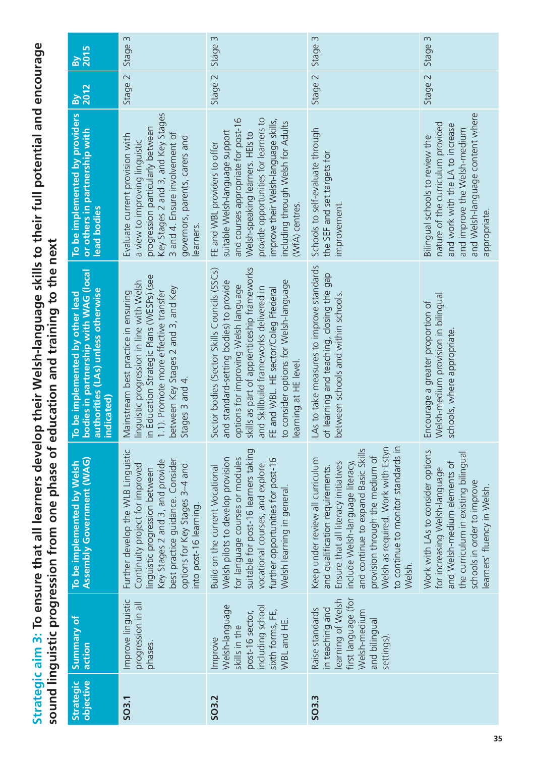Strategic aim 3: To ensure that all learners develop their Welsh-language skills to their full potential and encourage **Strategic aim 3: To ensure that all learners develop their Welsh-language skills to their full potential and encourage**  sound linguistic progression from one phase of education and training to the next **sound linguistic progression from one phase of education and training to the next**

| <b>By<br/>2015</b>                                                                                                           | Stage 3                                                                                                                                                                                                                                  | Stage 3                                                                                                                                                                                                                                                                                                                             | Stage 3                                                                                                                                                                                                                                                                                                          | Stage 3                                                                                                                                                                                                 |
|------------------------------------------------------------------------------------------------------------------------------|------------------------------------------------------------------------------------------------------------------------------------------------------------------------------------------------------------------------------------------|-------------------------------------------------------------------------------------------------------------------------------------------------------------------------------------------------------------------------------------------------------------------------------------------------------------------------------------|------------------------------------------------------------------------------------------------------------------------------------------------------------------------------------------------------------------------------------------------------------------------------------------------------------------|---------------------------------------------------------------------------------------------------------------------------------------------------------------------------------------------------------|
| $\frac{1}{2012}$                                                                                                             | Stage 2                                                                                                                                                                                                                                  | Stage 2                                                                                                                                                                                                                                                                                                                             | Stage 2                                                                                                                                                                                                                                                                                                          | Stage 2                                                                                                                                                                                                 |
| To be implemented by providers<br>or others in partnership with<br>lead bodies                                               | Key Stages 2 and 3, and Key Stages<br>progression particularly between<br>3 and 4. Ensure involvement of<br>Evaluate current provision with<br>governors, parents, carers and<br>a view to improving linguistic<br>earners.              | provide opportunities for learners to<br>and courses appropriate for post-16<br>improve their Welsh-language skills,<br>including through Welsh for Adults<br>suitable Welsh-language support<br>Welsh-speaking learners. HEIs to<br>FE and WBL providers to offer<br>(WfA) centres.                                                | Schools to self-evaluate through<br>the SEF and set targets for<br>improvement.                                                                                                                                                                                                                                  | and Welsh-language content where<br>nature of the curriculum provided<br>and work with the LA to increase<br>and improve the Welsh-medium<br>Bilingual schools to review the<br>appropriate.            |
| bodies in partnership with WAG (local<br>authorities (LAs) unless otherwise<br>To be implemented by other lead<br>indicated) | in Education Strategic Plans (WESPs) (see<br>linguistic progression in line with Welsh<br>between Key Stages 2 and 3, and Key<br>1.1). Promote more effective transfer<br>Mainstream best practice in ensuring<br>Stages 3 and 4.        | skills as part of apprenticeship frameworks<br>Sector bodies (Sector Skills Councils (SSCs)<br>to consider options for Welsh-language<br>and standard-setting bodies) to provide<br>options for improving Welsh language<br>and Skillbuild frameworks delivered in<br>FE and WBL. HE sector/Coleg Ffederal<br>learning at HE level. | LAs to take measures to improve standards<br>of learning and teaching, closing the gap<br>between schools and within schools                                                                                                                                                                                     | Welsh-medium provision in bilingual<br>Encourage a greater proportion of<br>schools, where appropriate.                                                                                                 |
| <b>Assembly Government (WAG)</b><br>To be implemented by Welsh                                                               | Further develop the WLB Linguistic<br>best practice guidance. Consider<br>Key Stages 2 and 3, and provide<br>options for Key Stages 3-4 and<br>Continuity project for improved<br>inguistic progression between<br>nto post-16 learning. | suitable for post-16 learners taking<br>for language courses or modules<br>Welsh pilots to develop provision<br>further opportunities for post-16<br>vocational courses, and explore<br>Build on the current Vocational<br>Welsh learning in general                                                                                | to continue to monitor standards in<br>Welsh as required. Work with Estyn<br>and continue to expand Basic Skills<br>provision through the medium of<br>Keep under review all curriculum<br>Ensure that all literacy initiatives<br>include Welsh-language literacy,<br>and qualification requirements.<br>Welsh. | Work with LAs to consider options<br>the curriculum in existing bilingual<br>and Welsh-medium elements of<br>for increasing Welsh-language<br>schools in order to improve<br>earners' fluency in Welsh. |
| Summary of<br>action                                                                                                         | Improve linguistic<br>progression in all<br>phases.                                                                                                                                                                                      | Welsh-language<br>including school<br>sixth forms, FE,<br>post-16 sector,<br>WBL and HE.<br>skills in the<br>Improve                                                                                                                                                                                                                | first language (for<br>learning of Welsh<br>Raise standards<br>in teaching and<br>Welsh-medium<br>and bilingual<br>settings)                                                                                                                                                                                     |                                                                                                                                                                                                         |
| objective<br><b>Strategic</b>                                                                                                | SO <sub>3.1</sub>                                                                                                                                                                                                                        | SO <sub>3.2</sub>                                                                                                                                                                                                                                                                                                                   | SO3.3                                                                                                                                                                                                                                                                                                            |                                                                                                                                                                                                         |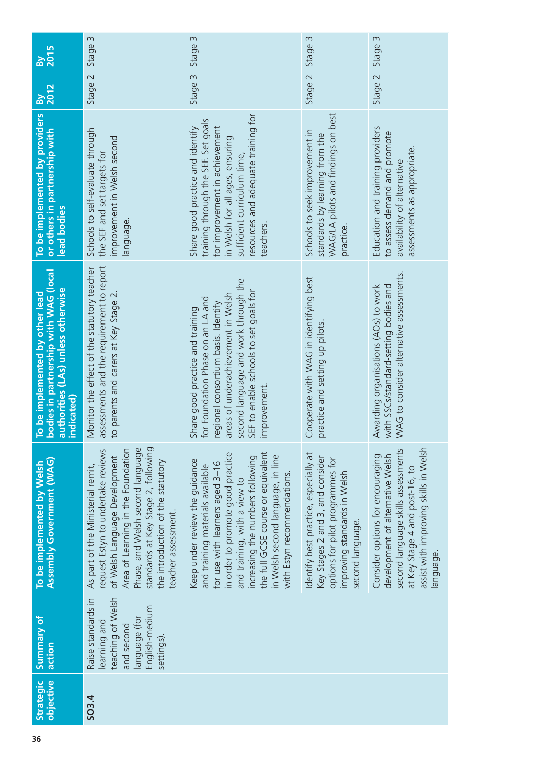| <b>2015</b><br><u>ଜ</u>                                                                                                     | Stage 3                                                                                                                                                                                                                                                                               | Stage 3                                                                                                                                                                                                                                                                                                                  | Stage 3                                                                                                                                                           | Stage 3                                                                                                                                                                                           |
|-----------------------------------------------------------------------------------------------------------------------------|---------------------------------------------------------------------------------------------------------------------------------------------------------------------------------------------------------------------------------------------------------------------------------------|--------------------------------------------------------------------------------------------------------------------------------------------------------------------------------------------------------------------------------------------------------------------------------------------------------------------------|-------------------------------------------------------------------------------------------------------------------------------------------------------------------|---------------------------------------------------------------------------------------------------------------------------------------------------------------------------------------------------|
| 2012<br>$\mathbf{B}$                                                                                                        | Stage 2                                                                                                                                                                                                                                                                               | Stage 3                                                                                                                                                                                                                                                                                                                  | Stage 2                                                                                                                                                           | Stage 2                                                                                                                                                                                           |
| To be implemented by providers<br>or others in partnership with<br>lead bodies                                              | Schools to self-evaluate through<br>improvement in Welsh second<br>the SEF and set targets for<br>anguage.                                                                                                                                                                            | resources and adequate training for<br>training through the SEF. Set goals<br>for improvement in achievement<br>Share good practice and identify<br>in Welsh for all ages, ensuring<br>sufficient curriculum time,<br>teachers.                                                                                          | WAG/LA pilots and findings on best<br>Schools to seek improvement in<br>standards by learning from the<br>practice                                                | Education and training providers<br>to assess demand and promote<br>assessments as appropriate.<br>availability of alternative                                                                    |
| oodies in partnership with WAG (local<br>authorities (LAs) unless otherwise<br>To be implemented by other lead<br>ndicated) | assessments and the requirement to report<br>Monitor the effect of the statutory teacher<br>to parents and carers at Key Stage 2.                                                                                                                                                     | second language and work through the<br>SEF to enable schools to set goals for<br>areas of underachievement in Welsh<br>or Foundation Phase on an LA and<br>egional consortium basis. Identify<br>Share good practice and training<br>mprovement.                                                                        | Cooperate with WAG in identifying best<br>practice and setting up pilots                                                                                          | NAG to consider alternative assessments.<br>with SSCs/standard-setting bodies and<br>Awarding organisations (AOs) to work                                                                         |
| <b>Assembly Government (WAG)</b><br>To be implemented by Welsh                                                              | Phase, and Welsh second language<br>standards at Key Stage 2, following<br>request Estyn to undertake reviews<br>Area of Learning in the Foundation<br>of Welsh Language Development<br>the introduction of the statutory<br>As part of the Ministerial remit,<br>teacher assessment. | in order to promote good practice<br>the full GCSE course or equivalent<br>in Welsh second language, in line<br>increasing the numbers following<br>Keep under review the guidance<br>for use with learners aged 3-16<br>and training materials available<br>with Estyn recommendations.<br>and training, with a view to | Identify best practice, especially at<br>Key Stages 2 and 3, and consider<br>options for pilot programmes for<br>improving standards in Welsh<br>second language. | assist with improving skills in Welsh<br>second language skills assessments<br>Consider options for encouraging<br>development of alternative Welsh<br>at Key Stage 4 and post-16, to<br>anguage. |
| Summary of<br>action                                                                                                        | teaching of Welsh<br>Raise standards in<br>English-medium<br>language (for<br>earning and<br>and second<br>settings).                                                                                                                                                                 |                                                                                                                                                                                                                                                                                                                          |                                                                                                                                                                   |                                                                                                                                                                                                   |
| objective<br>Strategic                                                                                                      | SO3.4                                                                                                                                                                                                                                                                                 |                                                                                                                                                                                                                                                                                                                          |                                                                                                                                                                   |                                                                                                                                                                                                   |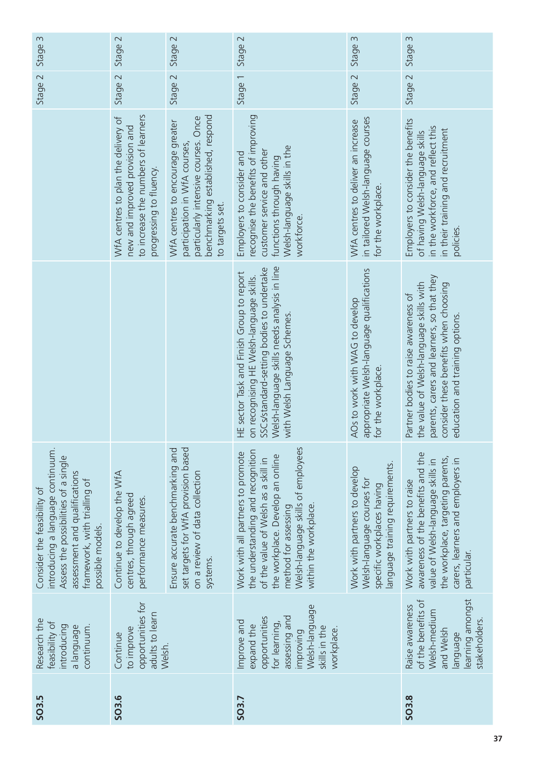| SO <sub>3.5</sub> | Research the<br>feasibility of<br>introducing<br>continuum.<br>a language                                                                  | introducing a language continuum.<br>Assess the possibilities of a single<br>assessment and qualifications<br>framework, with trialling of<br>Consider the feasibility of<br>possible models.                                            |                                                                                                                                                                                                                   |                                                                                                                                                                         | $\sim$<br>Stage: | $\infty$<br>Stage |
|-------------------|--------------------------------------------------------------------------------------------------------------------------------------------|------------------------------------------------------------------------------------------------------------------------------------------------------------------------------------------------------------------------------------------|-------------------------------------------------------------------------------------------------------------------------------------------------------------------------------------------------------------------|-------------------------------------------------------------------------------------------------------------------------------------------------------------------------|------------------|-------------------|
| SO3.6             | opportunities for<br>adults to learn<br>to improve<br>Continue<br>Welsh.                                                                   | Continue to develop the WfA<br>centres, through agreed<br>performance measures.                                                                                                                                                          |                                                                                                                                                                                                                   | to increase the numbers of learners<br>WfA centres to plan the delivery of<br>new and improved provision and<br>progressing to fluency.                                 | Stage 2          | Stage 2           |
|                   |                                                                                                                                            | set targets for WfA provision based<br>Ensure accurate benchmarking and<br>on a review of data collection<br>systems.                                                                                                                    |                                                                                                                                                                                                                   | benchmarking established, respond<br>particularly intensive courses. Once<br>WfA centres to encourage greater<br>participation in WfA courses<br>to targets set.        | Stage 2          | Stage 2           |
| SO <sub>3.7</sub> | Welsh-language<br>opportunities<br>assessing and<br>Improve and<br>for learning,<br>expand the<br>skills in the<br>workplace.<br>improving | Welsh-language skills of employees<br>the understanding and recognition<br>Work with all partners to promote<br>the workplace. Develop an online<br>of the value of Welsh as a skill in<br>within the workplace.<br>method for assessing | Welsh-language skills needs analysis in line<br>SSCs/standard-setting bodies to undertake<br>HE sector Task and Finish Group to report<br>on recognising HE Welsh-language skills.<br>with Welsh Language Schemes | recognise the benefits of improving<br>Welsh-language skills in the<br>customer service and other<br>Employers to consider and<br>functions through having<br>workforce | Stage 1          | Stage 2           |
|                   |                                                                                                                                            | language training requirements.<br>Work with partners to develop<br>Welsh-language courses for<br>specific workplaces having                                                                                                             | appropriate Welsh-language qualifications<br>AOs to work with WAG to develop<br>or the workplace                                                                                                                  | in tailored Welsh-language courses<br>WfA centres to deliver an increase<br>for the workplace                                                                           | Stage 2          | Stage 3           |
| SO <sub>3.8</sub> | learning amongst<br>of the benefits of<br>Raise awareness<br>Welsh-medium<br>stakeholders<br>and Welsh<br>language                         | awareness of the benefits and the<br>the workplace, targeting parents,<br>carers, learners and employers in<br>value of Welsh-language skills in<br>Work with partners to raise<br>particular.                                           | parents, carers and learners, so that they<br>the value of Welsh-language skills with<br>consider these benefits when choosing<br>Partner bodies to raise awareness of<br>education and training options.         | Employers to consider the benefits<br>in the workforce, and reflect this<br>in their training and recruitment<br>of having Welsh-language skills<br>policies            | Stage 2          | $\infty$<br>Stage |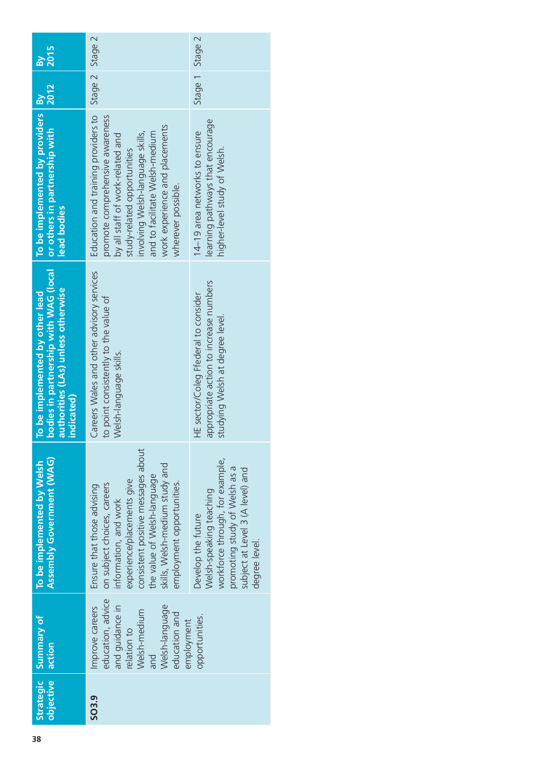| Strategic<br>objective | Summary of<br>action                                                                                                                           | Assembly Government (WAG)<br>To be implemented by Welsh                                                                                                                                                                                              | bodies in partnership with WAG (local)<br>authorities (LAs) unless otherwise<br>To be implemented by other lead<br>indicated) | To be implemented by providers By<br>lead bodies                                                                                                                                                                                                                        |                 | 2015<br>ă |
|------------------------|------------------------------------------------------------------------------------------------------------------------------------------------|------------------------------------------------------------------------------------------------------------------------------------------------------------------------------------------------------------------------------------------------------|-------------------------------------------------------------------------------------------------------------------------------|-------------------------------------------------------------------------------------------------------------------------------------------------------------------------------------------------------------------------------------------------------------------------|-----------------|-----------|
| SO3.9                  | education, advice<br>and quidance in<br>Welsh-language<br>Improve careers<br>Welsh-medium<br>education and<br>employment<br>relation to<br>and | consistent positive messages about<br>skills, Welsh-medium study and<br>the value of Welsh-language<br>experience/placements give<br>employment opportunities.<br>on subject choices, careers<br>Ensure that those advising<br>information, and work | Careers Wales and other advisory services<br>to point consistently to the value of<br>Welsh-language skills.                  | Education and training providers to<br>promote comprehensive awareness<br>work experience and placements<br>involving Welsh-language skills,<br>and to facilitate Welsh-medium<br>by all staff of work-related and<br>study-related opportunities<br>wherever possible. | Stage 2 Stage 2 |           |
|                        | opportunities.                                                                                                                                 | workforce through, for example,<br>promoting study of Welsh as a<br>subject at Level 3 (A level) and<br>Welsh-speaking teaching<br>Develop the future<br>degree level.                                                                               | appropriate action to increase numbers<br>HE sector/Coleg Ffederal to consider<br>studying Welsh at degree level.             | learning pathways that encourage<br>14-19 area networks to ensure<br>higher-level study of Welsh.                                                                                                                                                                       | Stage 1 Stage 2 |           |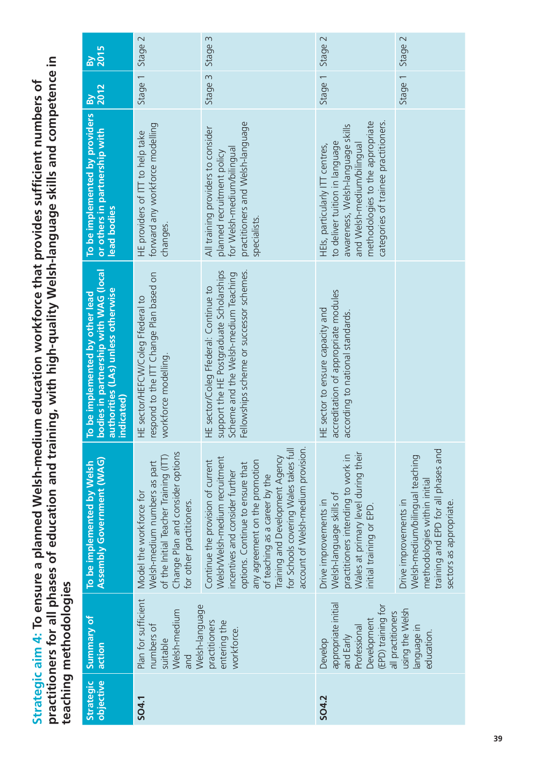practitioners for all phases of education and training, with high-quality Welsh-language skills and competence in **practitioners for all phases of education and training, with high-quality Welsh-language skills and competence in**  Strategic aim 4: To ensure a planned Welsh-medium education workforce that provides sufficient numbers of **Strategic aim 4: To ensure a planned Welsh-medium education workforce that provides sufficient numbers of teaching methodologies** teaching methodologies

| <b>By</b><br>2015                                                                                                            | Stage 2                                                                                                                                                                                                                                                                                                                                                                                                                                                                                                                                                                                                                                                                                           | Stage 3                                                                                                                                                               | Stage 2                                                                                                                                                                                                         | Stage 2                                     |
|------------------------------------------------------------------------------------------------------------------------------|---------------------------------------------------------------------------------------------------------------------------------------------------------------------------------------------------------------------------------------------------------------------------------------------------------------------------------------------------------------------------------------------------------------------------------------------------------------------------------------------------------------------------------------------------------------------------------------------------------------------------------------------------------------------------------------------------|-----------------------------------------------------------------------------------------------------------------------------------------------------------------------|-----------------------------------------------------------------------------------------------------------------------------------------------------------------------------------------------------------------|---------------------------------------------|
| <b>By</b><br>2012                                                                                                            | Stage 1                                                                                                                                                                                                                                                                                                                                                                                                                                                                                                                                                                                                                                                                                           | Stage 3                                                                                                                                                               | $\overline{\phantom{0}}$<br>Stage <sup>-</sup>                                                                                                                                                                  | Stage 1                                     |
| To be implemented by providers<br>or others in partnership with<br>lead bodies                                               | forward any workforce modelling<br>HE providers of ITT to help take<br>changes.                                                                                                                                                                                                                                                                                                                                                                                                                                                                                                                                                                                                                   | practitioners and Welsh-language<br>All training providers to consider<br>for Welsh-medium/bilingual<br>planned recruitment policy<br>specialists.                    | methodologies to the appropriate<br>categories of trainee practitioners.<br>awareness, Welsh-language skills<br>to deliver tuition in language<br>HEls, particularly ITT centres,<br>and Welsh-medium/bilingual |                                             |
| bodies in partnership with WAG (local<br>authorities (LAs) unless otherwise<br>To be implemented by other lead<br>indicated) | respond to the ITT Change Plan based on<br>HE sector/HEFCW/Coleg Ffederal to<br>workforce modelling.                                                                                                                                                                                                                                                                                                                                                                                                                                                                                                                                                                                              | Fellowships scheme or successor schemes.<br>support the HE Postgraduate Scholarships<br>Scheme and the Welsh-medium Teaching<br>HE sector/Coleg Ffederal: Continue to | accreditation of appropriate modules<br>HE sector to ensure capacity and<br>according to national standards.                                                                                                    |                                             |
| <b>Assembly Government (WAG)</b><br>To be implemented by Welsh                                                               | account of Welsh-medium provision.<br>for Schools covering Wales takes full<br>Change Plan and consider options<br>Wales at primary level during their<br>practitioners intending to work in<br>of the Initial Teacher Training (ITT)<br><b>Iraining and Development Agency</b><br>Nelsh/Welsh-medium recruitment<br>Continue the provision of current<br>any agreement on the promotion<br>Welsh-medium numbers as part<br>options. Continue to ensure that<br>incentives and consider further<br>of teaching as a career by the<br>Model the workforce for<br>Welsh-language skills of<br>for other practitioners.<br>Drive improvements in<br>Drive improvements in<br>nitial training or EPD. |                                                                                                                                                                       | training and EPD for all phases and<br>Welsh-medium/bilingual teaching<br>methodologies within initial<br>sectors as appropriate.                                                                               |                                             |
| Summary of<br>action                                                                                                         | Plan for sufficient<br>Welsh-language<br>Welsh-medium<br>numbers of<br>suitable<br>and                                                                                                                                                                                                                                                                                                                                                                                                                                                                                                                                                                                                            | practitioners<br>entering the<br>workforce.                                                                                                                           | appropriate initial<br>(EPD) training for<br>all practitioners<br>Development<br>Professional<br>and Early<br>Develop                                                                                           | using the Welsh<br>anguage in<br>education. |
| <b>Strategic</b><br>objective                                                                                                | SO4.1                                                                                                                                                                                                                                                                                                                                                                                                                                                                                                                                                                                                                                                                                             |                                                                                                                                                                       | <b>SO4.2</b>                                                                                                                                                                                                    |                                             |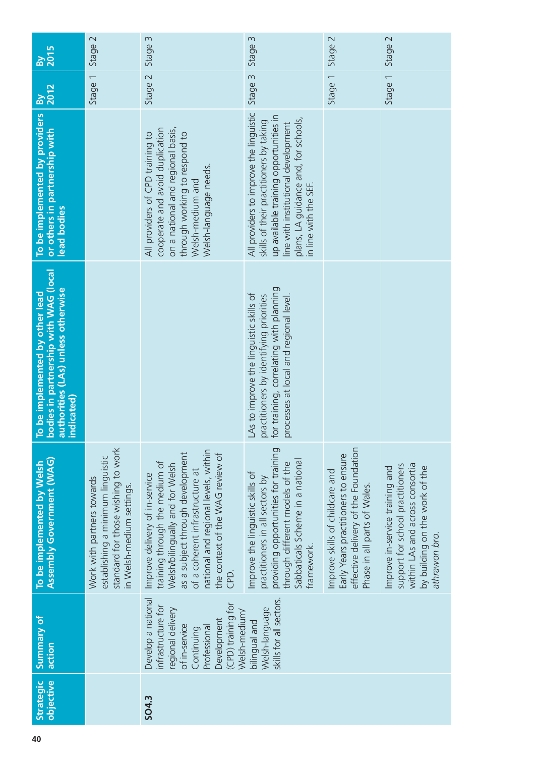| $\frac{1}{2015}$                                                                                                             | Stage 2                                                                                                                            | Stage 3                                                                                                                                                                                                                                                        | Stage 3                                                                                                                                                                                                                             | Stage 2                                                                                                                                       | Stage 2                                                                                                                                                   |
|------------------------------------------------------------------------------------------------------------------------------|------------------------------------------------------------------------------------------------------------------------------------|----------------------------------------------------------------------------------------------------------------------------------------------------------------------------------------------------------------------------------------------------------------|-------------------------------------------------------------------------------------------------------------------------------------------------------------------------------------------------------------------------------------|-----------------------------------------------------------------------------------------------------------------------------------------------|-----------------------------------------------------------------------------------------------------------------------------------------------------------|
| <b>By</b><br>2012                                                                                                            | $\overline{\phantom{0}}$<br>Stage                                                                                                  | Stage 2                                                                                                                                                                                                                                                        | S<br>Stage:                                                                                                                                                                                                                         | Stage 1                                                                                                                                       | Stage 1                                                                                                                                                   |
| To be implemented by providers<br>or others in partnership with<br>lead bodies                                               |                                                                                                                                    | cooperate and avoid duplication<br>on a national and regional basis,<br>All providers of CPD training to<br>through working to respond to<br>Welsh-language needs.<br>Welsh-medium and                                                                         | All providers to improve the linguistic<br>up available training opportunities in<br>plans, LA guidance and, for schools,<br>skills of their practitioners by taking<br>line with institutional development<br>n line with the SEF. |                                                                                                                                               |                                                                                                                                                           |
| bodies in partnership with WAG (local<br>authorities (LAs) unless otherwise<br>To be implemented by other lead<br>indicated) |                                                                                                                                    |                                                                                                                                                                                                                                                                | for training, correlating with planning<br>LAs to improve the linguistic skills of<br>practitioners by identifying priorities<br>processes at local and regional level.                                                             |                                                                                                                                               |                                                                                                                                                           |
| <b>Assembly Government (WAG)</b><br>To be implemented by Welsh                                                               | standard for those wishing to work<br>establishing a minimum linguistic<br>Work with partners towards<br>in Welsh-medium settings. | national and regional levels, within<br>as a subject through development<br>the context of the WAG review of<br>training through the medium of<br>Welsh/bilingually and for Welsh<br>of a coherent infrastructure at<br>Improve delivery of in-service<br>CPD. | providing opportunities for training<br>Sabbaticals Scheme in a national<br>through different models of the<br>Improve the linguistic skills of<br>practitioners in all sectors by<br>framework.                                    | effective delivery of the Foundation<br>Early Years practitioners to ensure<br>mprove skills of childcare and<br>Phase in all parts of Wales. | support for school practitioners<br>within LAs and across consortia<br>Improve in-service training and<br>by building on the work of the<br>athrawon bro. |
| Summary of<br>action                                                                                                         |                                                                                                                                    | Develop a national<br>(CPD) training for<br>infrastructure for<br>regional delivery<br>Welsh-medium/<br>Development<br>of in-service<br>Professional<br>Continuing                                                                                             | skills for all sectors.<br>Welsh-language<br>bilingual and                                                                                                                                                                          |                                                                                                                                               |                                                                                                                                                           |
| objective<br><b>Strategic</b>                                                                                                |                                                                                                                                    | SO4.3                                                                                                                                                                                                                                                          |                                                                                                                                                                                                                                     |                                                                                                                                               |                                                                                                                                                           |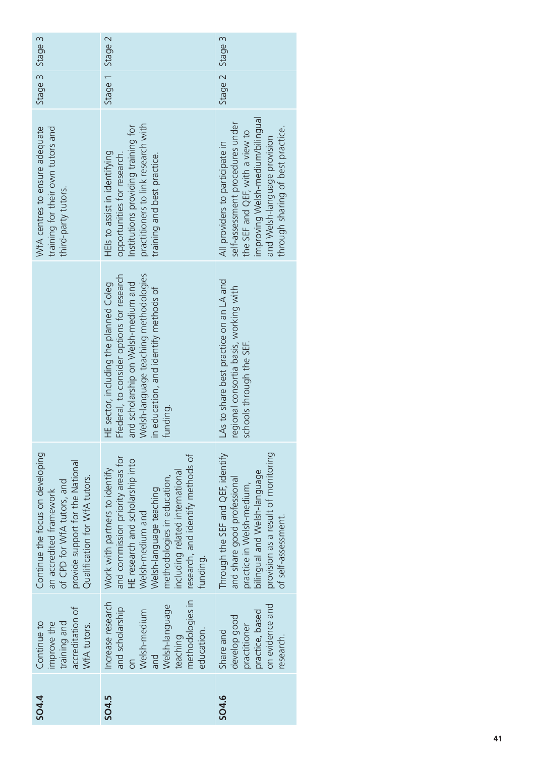| accreditation of<br>training and<br>Continue to<br>improve the<br>WfA tutors. | Continue the focus on developing<br>provide support for the National<br>Qualification for WfA tutors.<br>of CPD for WfA tutors, and<br>an accredited framework                                                                                                            |                                                                                                                                                                                                                          | training for their own tutors and<br>WfA centres to ensure adequate<br>third-party tutors.                                                                                                                      | Stage 3 Stage 3 |  |
|-------------------------------------------------------------------------------|---------------------------------------------------------------------------------------------------------------------------------------------------------------------------------------------------------------------------------------------------------------------------|--------------------------------------------------------------------------------------------------------------------------------------------------------------------------------------------------------------------------|-----------------------------------------------------------------------------------------------------------------------------------------------------------------------------------------------------------------|-----------------|--|
|                                                                               | research, and identify methods of<br>and commission priority areas for<br>HE research and scholarship into<br>Work with partners to identify<br>including related international<br>methodologies in education,<br>Welsh-language teaching<br>Welsh-medium and<br>funding. | Nelsh-language teaching methodologies<br>-federal, to consider options for research<br>and scholarship on Welsh-medium and<br>HE sector, including the planned Coleg<br>n education, and identify methods of<br>tunding. | practitioners to link research with<br>Institutions providing training for<br>HEls to assist in identifying<br>opportunities for research.<br>training and best practice.                                       | Stage 1 Stage 2 |  |
|                                                                               | provision as a result of monitoring<br>Through the SEF and QEF, identify<br>bilingual and Welsh-language<br>and share good professional<br>practice in Welsh-medium,<br>of self-assessment.                                                                               | As to share best practice on an LA and<br>egional consortia basis, working with<br>schools through the SEF.                                                                                                              | improving Welsh-medium/bilingual<br>self-assessment procedures under<br>through sharing of best practice.<br>the SEF and QEF, with a view to<br>and Welsh-language provision<br>All providers to participate in | Stage 2 Stage 3 |  |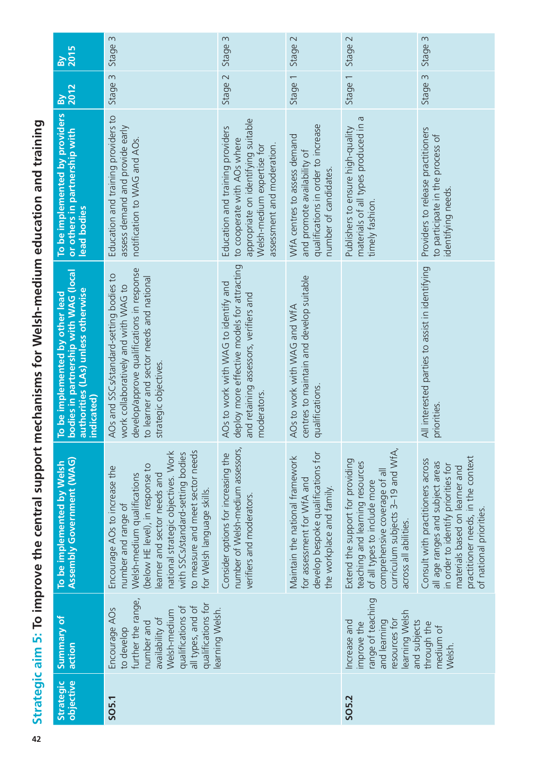| objective<br>Strategic | Summary of<br>action                                                                                                                                               | <b>Assembly Government (WAG)</b><br>To be implemented by Welsh                                                                                                                                                                                                                                       | bodies in partnership with WAG (local<br>authorities (LAs) unless otherwise<br>To be implemented by other lead<br>indicated)                                                                       | To be implemented by providers<br>or others in partnership with<br>lead bodies                                                                                     | By<br>2012                        | By<br>2015 |
|------------------------|--------------------------------------------------------------------------------------------------------------------------------------------------------------------|------------------------------------------------------------------------------------------------------------------------------------------------------------------------------------------------------------------------------------------------------------------------------------------------------|----------------------------------------------------------------------------------------------------------------------------------------------------------------------------------------------------|--------------------------------------------------------------------------------------------------------------------------------------------------------------------|-----------------------------------|------------|
| SO <sub>5.1</sub>      | further the range,<br>qualifications for<br>qualifications of<br>all types, and of<br>Encourage AOs<br>Welsh-medium<br>availability of<br>number and<br>to develop | to measure and meet sector needs<br>national strategic objectives. Work<br>with SSCs/standard-setting bodies<br>(below HE level), in response to<br>Encourage AOs to increase the<br>Welsh-medium qualifications<br>earner and sector needs and<br>for Welsh language skills.<br>number and range of | develop/approve qualifications in response<br>AOs and SSCs/standard-setting bodies to<br>to learner and sector needs and national<br>work collaboratively and with WAG to<br>strategic objectives. | Education and training providers to<br>assess demand and provide early<br>notification to WAG and AOs.                                                             | Stage 3                           | Stage 3    |
|                        | learning Welsh.                                                                                                                                                    | number of Welsh-medium assessors,<br>Consider options for increasing the<br>verifiers and moderators.                                                                                                                                                                                                | deploy more effective models for attracting<br>AOs to work with WAG to identify and<br>and retaining assessors, verifiers and<br>moderators                                                        | appropriate on identifying suitable<br>Education and training providers<br>to cooperate with AOs where<br>assessment and moderation.<br>Welsh-medium expertise for | Stage 2                           | Stage 3    |
|                        |                                                                                                                                                                    | develop bespoke qualifications for<br>Maintain the national framework<br>for assessment for WfA and<br>the workplace and family.                                                                                                                                                                     | centres to maintain and develop suitable<br>AOs to work with WAG and WfA<br>qualifications.                                                                                                        | qualifications in order to increase<br>WfA centres to assess demand<br>and promote availability of<br>number of candidates.                                        | $\overline{\phantom{0}}$<br>Stage | Stage 2    |
| SO5.2                  | range of teaching<br>learning Welsh<br>resources for<br>and learning<br>Increase and<br>improve the                                                                | curriculum subjects 3-19 and WfA,<br>Extend the support for providing<br>teaching and learning resources<br>comprehensive coverage of all<br>of all types to include more<br>across all abilities.                                                                                                   |                                                                                                                                                                                                    | materials of all types produced in a<br>Publishers to ensure high-quality<br>timely fashion.                                                                       | Stage 1                           | Stage 2    |
|                        | and subjects<br>through the<br>medium of<br>Welsh.                                                                                                                 | practitioner needs, in the context<br>Consult with practitioners across<br>all age ranges and subject areas<br>in order to identify priorities for<br>materials based on learner and<br>of national priorities.                                                                                      | All interested parties to assist in identifying<br>priorities.                                                                                                                                     | Providers to release practitioners<br>to participate in the process of<br>identifying needs.                                                                       | Stage 3                           | Stage 3    |

the strategic aim 5: To improve the central support mechanisms for Welsh-medium education and training **Strategic aim 5: To improve the central support mechanisms for Welsh-medium education and training**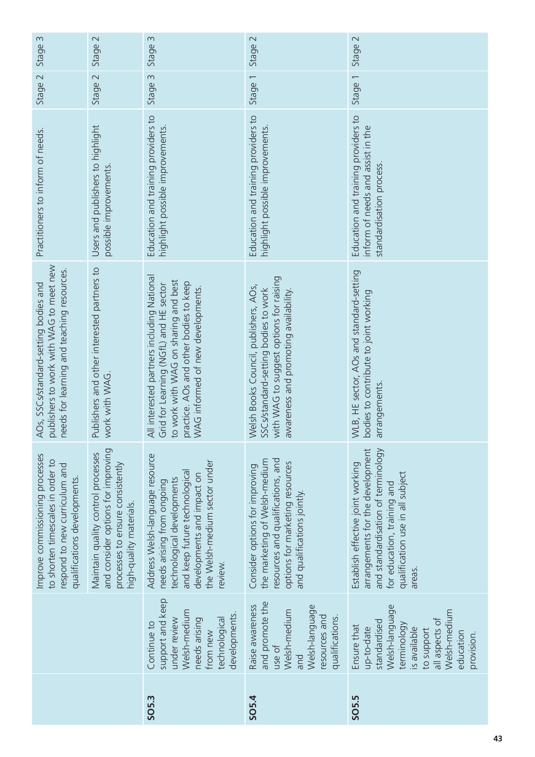| $\sim$<br>Stage:                                                                                                                      | $\sim$<br>Stage:                                                                                                                        | $\sim$<br>Stage                                                                                                                                                                                             | Stage 2                                                                                                                                                                | Stage 2                                                                                                                                                                                  |
|---------------------------------------------------------------------------------------------------------------------------------------|-----------------------------------------------------------------------------------------------------------------------------------------|-------------------------------------------------------------------------------------------------------------------------------------------------------------------------------------------------------------|------------------------------------------------------------------------------------------------------------------------------------------------------------------------|------------------------------------------------------------------------------------------------------------------------------------------------------------------------------------------|
| Stage 2                                                                                                                               | Stage 2                                                                                                                                 | Stage 3                                                                                                                                                                                                     | Stage 1                                                                                                                                                                | Stage 1                                                                                                                                                                                  |
| Practitioners to inform of needs.                                                                                                     | Users and publishers to highlight<br>possible improvements                                                                              | Education and training providers to<br>highlight possible improvements                                                                                                                                      | Education and training providers to<br>highlight possible improvements.                                                                                                | Education and training providers to<br>inform of needs and assist in the<br>standardisation process                                                                                      |
| publishers to work with WAG to meet new<br>eeds for learning and teaching resources.<br>AOs, SSCs/standard-setting bodies and         | Publishers and other interested partners to<br>work with WAG                                                                            | All interested partners including National<br>to work with WAG on sharing and best<br>practice. AOs and other bodies to keep<br>WAG informed of new developments.<br>Grid for Learning (NGfL) and HE sector | with WAG to suggest options for raising<br>Welsh Books Council, publishers, AOs,<br>SSCs/standard-setting bodies to work<br>awareness and promoting availability       | WLB, HE sector, AOs and standard-setting<br>bodies to contribute to joint working<br>arrangements                                                                                        |
| Improve commissioning processes<br>to shorten timescales in order to<br>respond to new curriculum and<br>qualifications developments. | and consider options for improving<br>Maintain quality control processes<br>processes to ensure consistently<br>high-quality materials. | Address Welsh-language resource<br>the Welsh-medium sector under<br>and keep future technological<br>developments and impact on<br>technological developments<br>needs arising from ongoing<br>review.      | resources and qualifications, and<br>the marketing of Welsh-medium<br>options for marketing resources<br>Consider options for improving<br>and qualifications jointly. | arrangements for the development<br>and standardisation of terminology<br>Establish effective joint working<br>qualification use in all subject<br>for education, training and<br>areas. |
|                                                                                                                                       |                                                                                                                                         | support and keep<br>Welsh-medium<br>developments.<br>technological<br>under review<br>needs arising<br>Continue to<br>from new                                                                              | and promote the<br>Raise awareness<br>Welsh-language<br>Welsh-medium<br>resources and<br>qualifications.<br>use of<br>and                                              | Welsh-language<br>Welsh-medium<br>all aspects of<br>standardised<br>terminology<br>Ensure that<br>up-to-date<br>is available<br>to support<br>education<br>provision.                    |
|                                                                                                                                       |                                                                                                                                         | SO <sub>5.3</sub>                                                                                                                                                                                           | <b>SO5.4</b>                                                                                                                                                           | SO <sub>5.5</sub>                                                                                                                                                                        |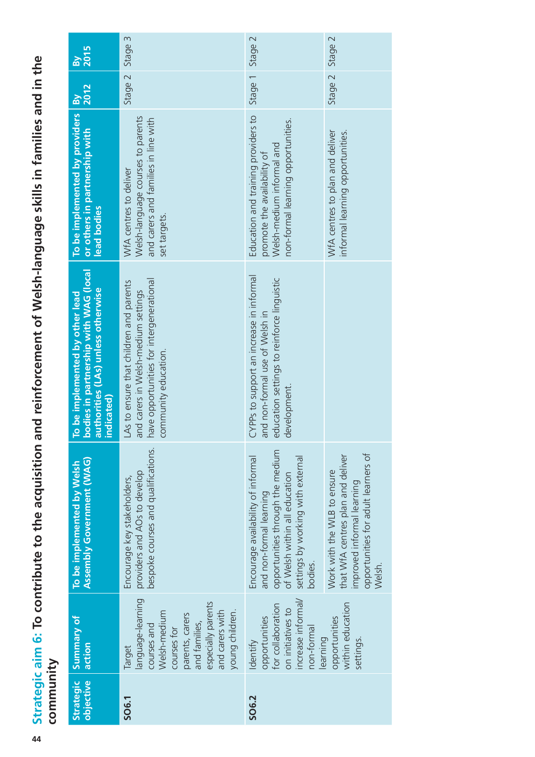Strategic aim 6: To contribute to the acquisition and reinforcement of Welsh-language skills in families and in the **Strategic aim 6: To contribute to the acquisition and reinforcement of Welsh-language skills in families and in the**  community **community**

| <b>Strategic</b><br>objective | Summary of<br>action                                                                                                                                                      | Assembly Government (WAG)<br>To be implemented by Welsh                                                                                                                            | bodies in partnership with WAG (local<br>authorities (LAs) unless otherwise<br>To be implemented by other lead<br>indicated)                       | To be implemented by providers<br>or others in partnership with<br>lead bodies                                                        | 2012<br>$\mathbf{g}$ | <b>2015</b><br><b>R</b> |
|-------------------------------|---------------------------------------------------------------------------------------------------------------------------------------------------------------------------|------------------------------------------------------------------------------------------------------------------------------------------------------------------------------------|----------------------------------------------------------------------------------------------------------------------------------------------------|---------------------------------------------------------------------------------------------------------------------------------------|----------------------|-------------------------|
|                               | language-learning<br>especially parents<br>and carers with<br>young children.<br>Welsh-medium<br>parents, carers<br>and families,<br>courses and<br>courses for<br>Target | providers and AOs to develop<br>bespoke courses and qualifications.<br>Encourage key stakeholders,                                                                                 | have opportunities for intergenerational<br>LAs to ensure that children and parents<br>and carers in Welsh-medium settings<br>community education. | Welsh-language courses to parents<br>and carers and families in line with<br>WfA centres to deliver<br>set targets.                   | Stage 2              | Stage 3                 |
|                               | increase informal/<br>for collaboration<br>on initiatives to<br>opportunities<br>non-formal<br>earning<br>Identify                                                        | opportunities through the medium<br>Encourage availability of informal<br>settings by working with external<br>of Welsh within all education<br>and non-formal learning<br>bodies. | CYPPs to support an increase in informal<br>education settings to reinforce linguistic<br>and non-formal use of Welsh in<br>evelopment.<br>O       | Education and training providers to<br>non-formal learning opportunities.<br>Welsh-medium informal and<br>promote the availability of | Stage 1              | Stage 2                 |
|                               | within education<br>opportunities<br>settings.                                                                                                                            | opportunities for adult learners of<br>that WfA centres plan and deliver<br>Work with the WLB to ensure<br>improved informal learning<br>Welsh.                                    |                                                                                                                                                    | WfA centres to plan and deliver<br>informal learning opportunities.                                                                   | Stage 2              | Stage 2                 |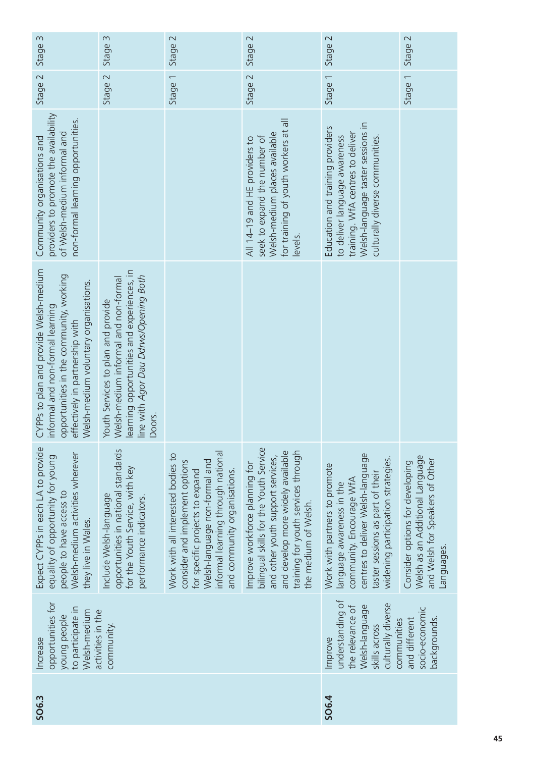| Stage 3                                                                                                                                                                                           | Stage 3                                                                                                                                                                     | Stage 2                                                                                                                                                                                                        | Stage 2                                                                                                                                                                                                           | Stage 2                                                                                                                                                                                               | Stage 2                                                                                                             |
|---------------------------------------------------------------------------------------------------------------------------------------------------------------------------------------------------|-----------------------------------------------------------------------------------------------------------------------------------------------------------------------------|----------------------------------------------------------------------------------------------------------------------------------------------------------------------------------------------------------------|-------------------------------------------------------------------------------------------------------------------------------------------------------------------------------------------------------------------|-------------------------------------------------------------------------------------------------------------------------------------------------------------------------------------------------------|---------------------------------------------------------------------------------------------------------------------|
| Stage 2                                                                                                                                                                                           | Stage 2                                                                                                                                                                     | Stage 1                                                                                                                                                                                                        | Stage 2                                                                                                                                                                                                           | Stage 1                                                                                                                                                                                               | Stage 1                                                                                                             |
| providers to promote the availability<br>non-formal learning opportunities.<br>of Welsh-medium informal and<br>Community organisations and                                                        |                                                                                                                                                                             |                                                                                                                                                                                                                | for training of youth workers at all<br>Welsh-medium places available<br>seek to expand the number of<br>All 14-19 and HE providers to<br>levels.                                                                 | Welsh-language taster sessions in<br>Education and training providers<br>training. WfA centres to deliver<br>to deliver language awareness<br>culturally diverse communities.                         |                                                                                                                     |
| CYPPs to plan and provide Welsh-medium<br>opportunities in the community, working<br>Welsh-medium voluntary organisations.<br>informal and non-formal learning<br>effectively in partnership with | learning opportunities and experiences, in<br>line with Agor Dau Ddrws/Opening Both<br>Welsh-medium informal and non-formal<br>Youth Services to plan and provide<br>Doors. |                                                                                                                                                                                                                |                                                                                                                                                                                                                   |                                                                                                                                                                                                       |                                                                                                                     |
| Expect CYPPs in each LA to provide<br>Welsh-medium activities wherever<br>equality of opportunity for young<br>people to have access to<br>they live in Wales.                                    | opportunities in national standards<br>for the Youth Service, with key<br>Include Welsh-language<br>performance indicators.                                                 | informal learning through national<br>Work with all interested bodies to<br>Welsh-language non-formal and<br>consider and implement options<br>for specific projects to expand<br>and community organisations. | bilingual skills for the Youth Service<br>training for youth services through<br>and develop more widely available<br>and other youth support services,<br>Improve workforce planning for<br>the medium of Welsh. | centres to deliver Welsh-language<br>widening participation strategies.<br>Work with partners to promote<br>taster sessions as part of their<br>community. Encourage WfA<br>language awareness in the | Welsh as an Additional Language<br>and Welsh for Speakers of Other<br>Consider options for developing<br>Languages. |
| opportunities for<br>to participate in<br>Welsh-medium<br>activities in the<br>young people<br>Increase                                                                                           | community.                                                                                                                                                                  |                                                                                                                                                                                                                |                                                                                                                                                                                                                   | understanding of<br>culturally diverse<br>Welsh-language<br>the relevance of<br>communities<br>skills across<br>Improve                                                                               | socio-economic<br>backgrounds.<br>and different                                                                     |
| SO <sub>6.3</sub>                                                                                                                                                                                 |                                                                                                                                                                             |                                                                                                                                                                                                                |                                                                                                                                                                                                                   | SO <sub>6.4</sub>                                                                                                                                                                                     |                                                                                                                     |